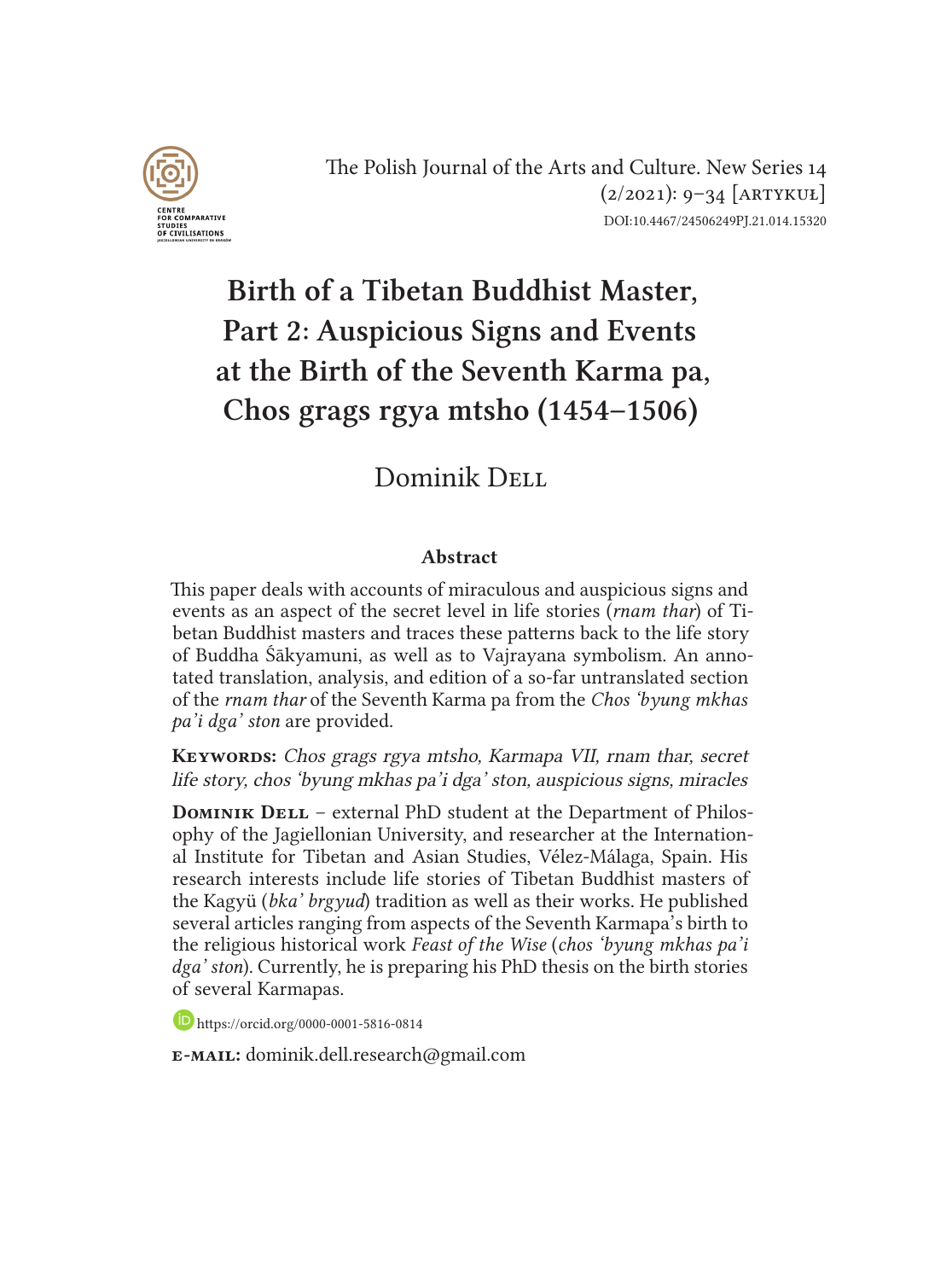

The Polish Journal of the Arts and Culture. New Series 14  $(2/2021): 9-34$  [ARTYKUŁ] DOI:10.4467/24506249PJ.21.014.15320

# Birth of a Tibetan Buddhist Master, Part 2: Auspicious Signs and Events at the Birth of the Seventh Karma pa, Chos grags rgya mtsho (1454–1506)

# Dominik DELL

#### Abstract

This paper deals with accounts of miraculous and auspicious signs and events as an aspect of the secret level in life stories (*rnam thar*) of Tibetan Buddhist masters and traces these patterns back to the life story of Buddha Śākyamuni, as well as to Vajrayana symbolism. An annotated translation, analysis, and edition of a so-far untranslated section of the *rnam thar* of the Seventh Karma pa from the *Chos 'byung mkhas pa'i dga' ston* are provided.

KEYWORDS: Chos grags rgya mtsho, Karmapa VII, rnam thar, secret life story, chos 'byung mkhas pa'i dga' ston, auspicious signs, miracles

**DOMINIK DELL** – external PhD student at the Department of Philosophy of the Jagiellonian University, and researcher at the International Institute for Tibetan and Asian Studies, Vélez-Málaga, Spain. His research interests include life stories of Tibetan Buddhist masters of the Kagyü (*bka' brgyud*) tradition as well as their works. He published several articles ranging from aspects of the Seventh Karmapa's birth to the religious historical work *Feast of the Wise* (*chos 'byung mkhas pa'i dga' ston*). Currently, he is preparing his PhD thesis on the birth stories of several Karmapas.

https://orcid.org/0000-0001-5816-0814

e-mail: dominik.dell.research@gmail.com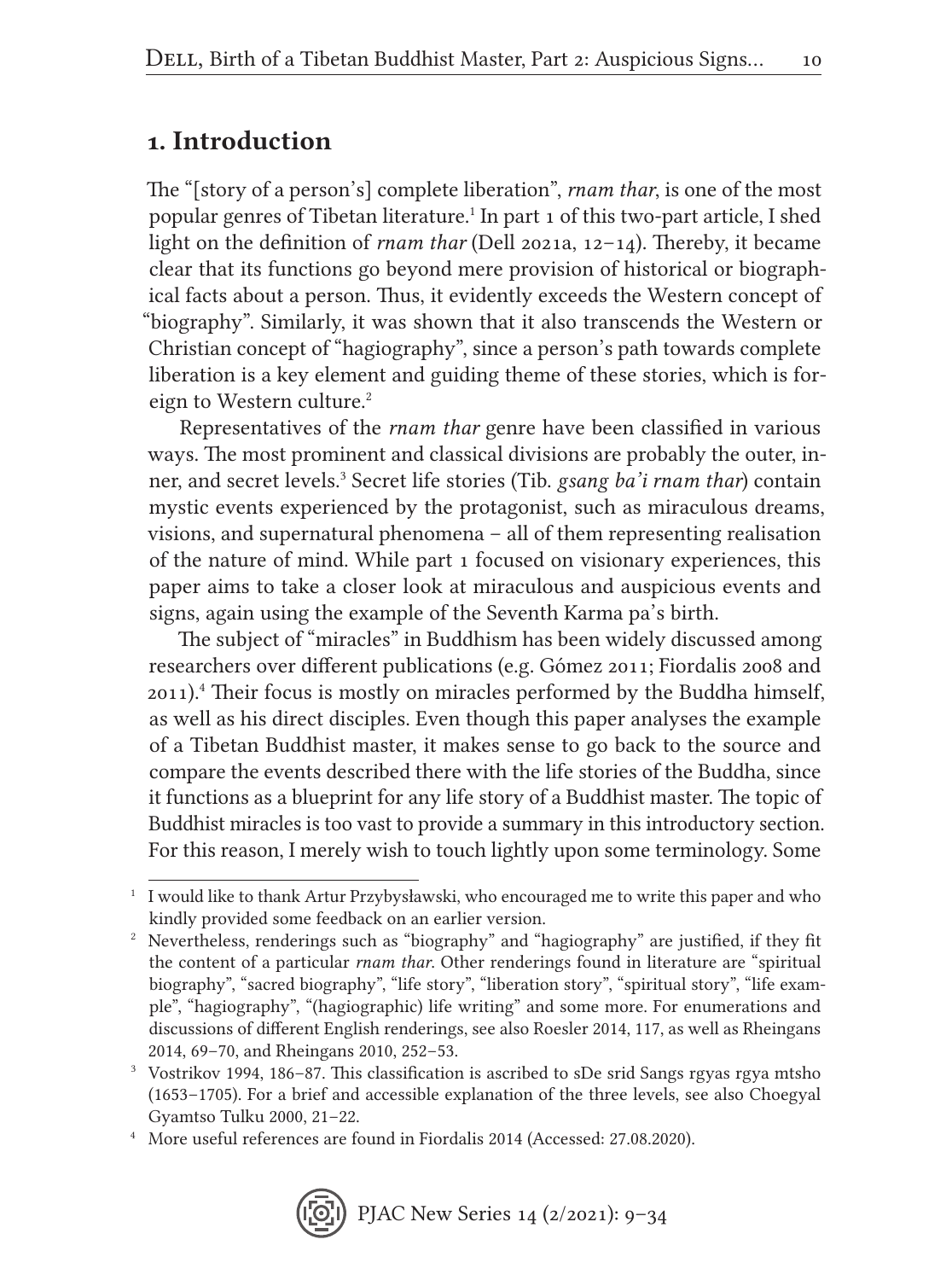### 1. Introduction

The "[story of a person's] complete liberation", *rnam thar*, is one of the most popular genres of Tibetan literature.1 In part 1 of this two-part article, I shed light on the definition of *rnam thar* (Dell 2021a, 12–14). Thereby, it became clear that its functions go beyond mere provision of historical or biographical facts about a person. Thus, it evidently exceeds the Western concept of "biography". Similarly, it was shown that it also transcends the Western or Christian concept of "hagiography", since a person's path towards complete liberation is a key element and guiding theme of these stories, which is foreign to Western culture.<sup>2</sup>

Representatives of the *rnam thar* genre have been classified in various ways. The most prominent and classical divisions are probably the outer, inner, and secret levels.<sup>3</sup> Secret life stories (Tib. *gsang ba'i rnam thar*) contain mystic events experienced by the protagonist, such as miraculous dreams, visions, and supernatural phenomena – all of them representing realisation of the nature of mind. While part 1 focused on visionary experiences, this paper aims to take a closer look at miraculous and auspicious events and signs, again using the example of the Seventh Karma pa's birth.

The subject of "miracles" in Buddhism has been widely discussed among researchers over different publications (e.g. Gómez 2011; Fiordalis 2008 and 2011).4 Their focus is mostly on miracles performed by the Buddha himself, as well as his direct disciples. Even though this paper analyses the example of a Tibetan Buddhist master, it makes sense to go back to the source and compare the events described there with the life stories of the Buddha, since it functions as a blueprint for any life story of a Buddhist master. The topic of Buddhist miracles is too vast to provide a summary in this introductory section. For this reason, I merely wish to touch lightly upon some terminology. Some

<sup>1</sup> I would like to thank Artur Przybysławski, who encouraged me to write this paper and who kindly provided some feedback on an earlier version.

<sup>2</sup> Nevertheless, renderings such as "biography" and "hagiography" are justified, if they fit the content of a particular *rnam thar*. Other renderings found in literature are "spiritual biography", "sacred biography", "life story", "liberation story", "spiritual story", "life example", "hagiography", "(hagiographic) life writing" and some more. For enumerations and discussions of different English renderings, see also Roesler 2014, 117, as well as Rheingans 2014, 69–70, and Rheingans 2010, 252–53.

<sup>3</sup> Vostrikov 1994, 186–87. This classification is ascribed to sDe srid Sangs rgyas rgya mtsho (1653–1705). For a brief and accessible explanation of the three levels, see also Choegyal Gyamtso Tulku 2000, 21–22.

<sup>4</sup> More useful references are found in Fiordalis 2014 (Accessed: 27.08.2020).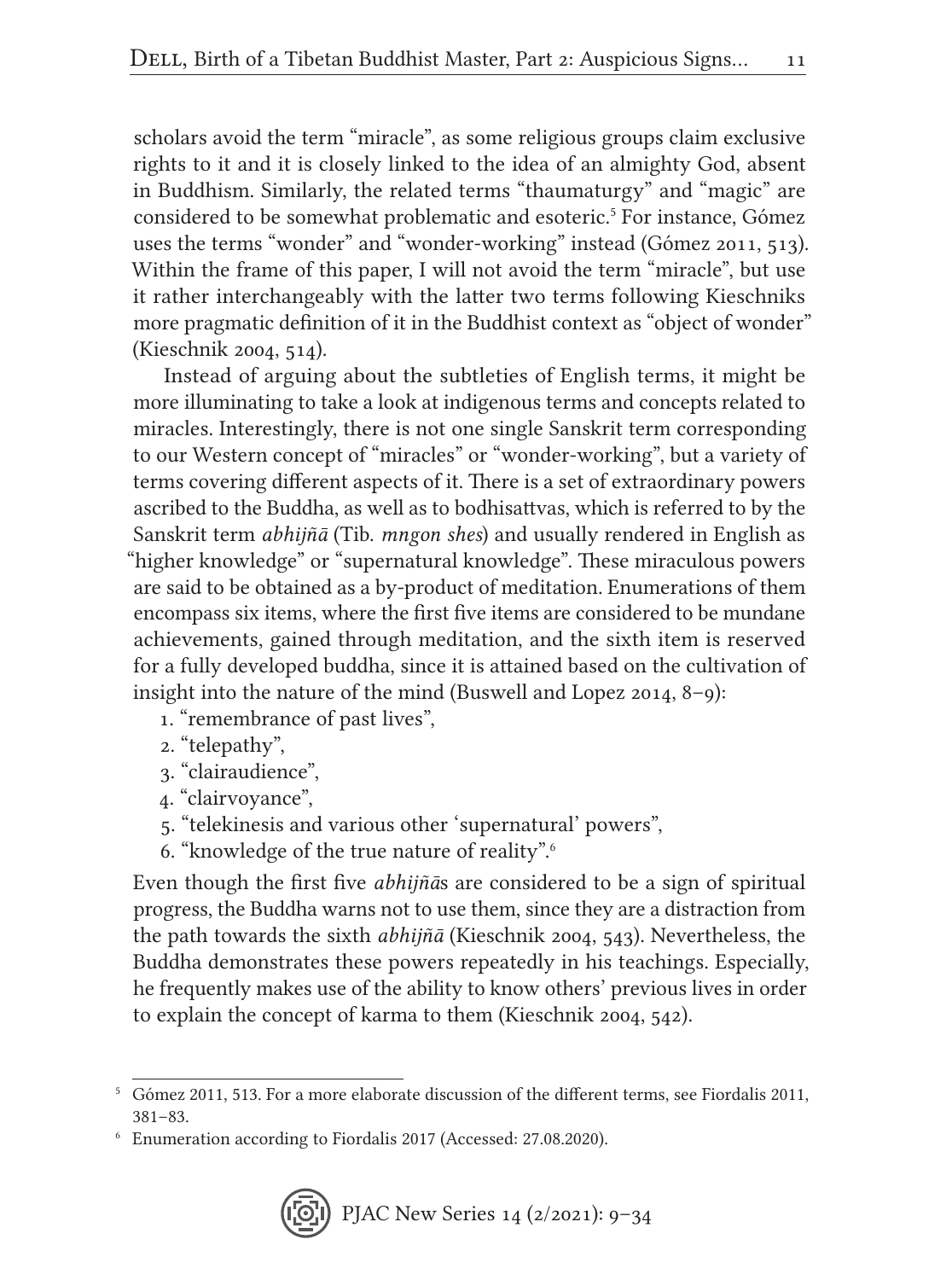scholars avoid the term "miracle", as some religious groups claim exclusive rights to it and it is closely linked to the idea of an almighty God, absent in Buddhism. Similarly, the related terms "thaumaturgy" and "magic" are considered to be somewhat problematic and esoteric.<sup>5</sup> For instance, Gómez uses the terms "wonder" and "wonder-working" instead (Gómez 2011, 513). Within the frame of this paper, I will not avoid the term "miracle", but use it rather interchangeably with the latter two terms following Kieschniks more pragmatic definition of it in the Buddhist context as "object of wonder" (Kieschnik 2004, 514).

Instead of arguing about the subtleties of English terms, it might be more illuminating to take a look at indigenous terms and concepts related to miracles. Interestingly, there is not one single Sanskrit term corresponding to our Western concept of "miracles" or "wonder-working", but a variety of terms covering different aspects of it. There is a set of extraordinary powers ascribed to the Buddha, as well as to bodhisattvas, which is referred to by the Sanskrit term *abhijñā* (Tib. *mngon shes*) and usually rendered in English as "higher knowledge" or "supernatural knowledge". These miraculous powers are said to be obtained as a by-product of meditation. Enumerations of them encompass six items, where the first five items are considered to be mundane achievements, gained through meditation, and the sixth item is reserved for a fully developed buddha, since it is attained based on the cultivation of insight into the nature of the mind (Buswell and Lopez 2014, 8–9):

- 1. "remembrance of past lives",
- 2. "telepathy",
- 3. "clairaudience",
- 4. "clairvoyance",
- 5. "telekinesis and various other 'supernatural' powers",
- 6. "knowledge of the true nature of reality".6

Even though the first five *abhijñā*s are considered to be a sign of spiritual progress, the Buddha warns not to use them, since they are a distraction from the path towards the sixth *abhijñā* (Kieschnik 2004, 543). Nevertheless, the Buddha demonstrates these powers repeatedly in his teachings. Especially, he frequently makes use of the ability to know others' previous lives in order to explain the concept of karma to them (Kieschnik 2004, 542).

<sup>5</sup> Gómez 2011, 513. For a more elaborate discussion of the different terms, see Fiordalis 2011, 381–83.

<sup>6</sup> Enumeration according to Fiordalis 2017 (Accessed: 27.08.2020).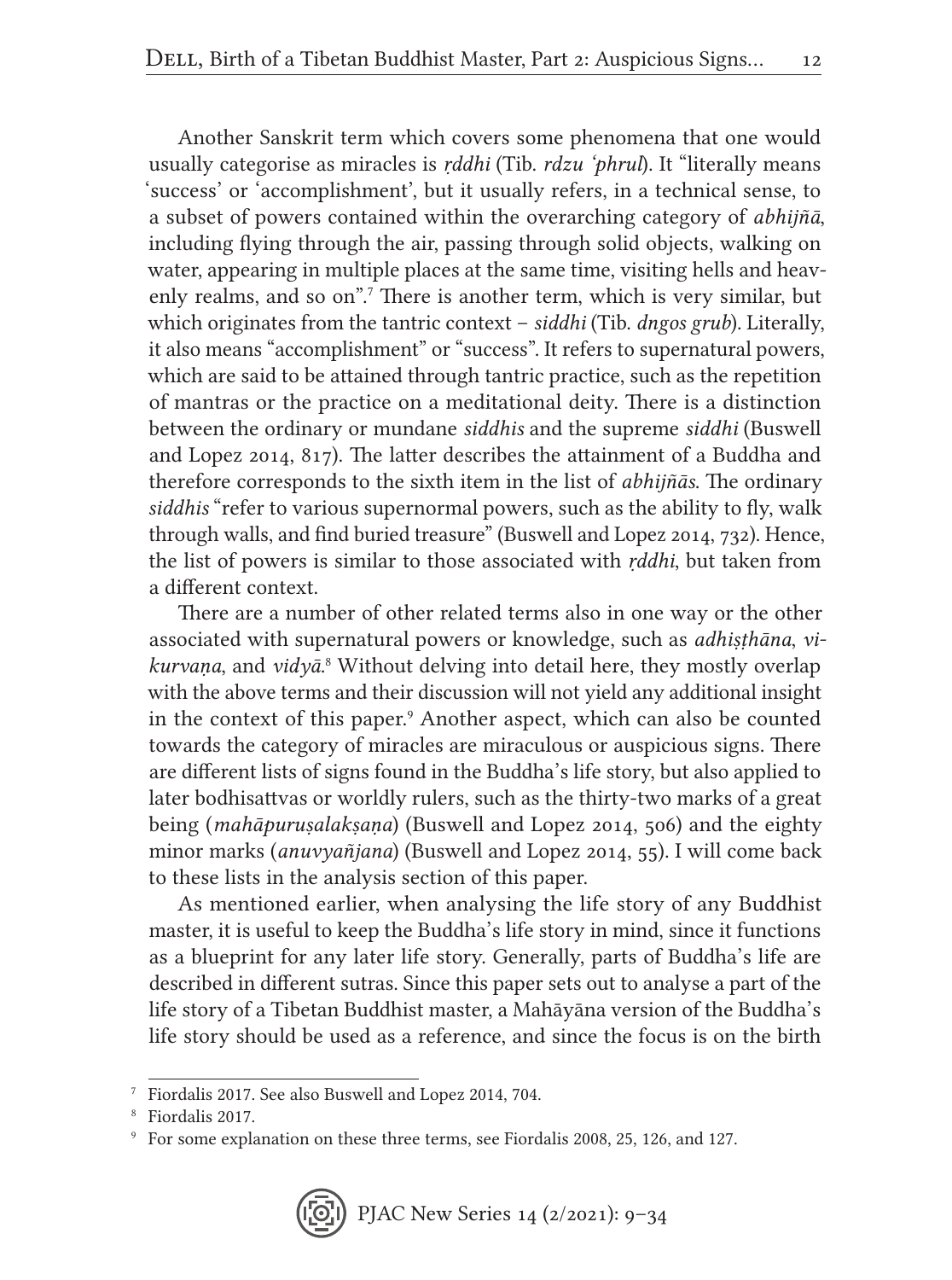Another Sanskrit term which covers some phenomena that one would usually categorise as miracles is *ṛddhi* (Tib. *rdzu 'phrul*). It "literally means 'success' or 'accomplishment', but it usually refers, in a technical sense, to a subset of powers contained within the overarching category of *abhijñā*, including flying through the air, passing through solid objects, walking on water, appearing in multiple places at the same time, visiting hells and heavenly realms, and so on".<sup>7</sup> There is another term, which is very similar, but which originates from the tantric context – *siddhi* (Tib. *dngos grub*). Literally, it also means "accomplishment" or "success". It refers to supernatural powers, which are said to be attained through tantric practice, such as the repetition of mantras or the practice on a meditational deity. There is a distinction between the ordinary or mundane *siddhis* and the supreme *siddhi* (Buswell and Lopez 2014, 817). The latter describes the attainment of a Buddha and therefore corresponds to the sixth item in the list of *abhijñās*. The ordinary *siddhis* "refer to various supernormal powers, such as the ability to fly, walk through walls, and find buried treasure" (Buswell and Lopez 2014, 732). Hence, the list of powers is similar to those associated with *ṛddhi*, but taken from a different context.

There are a number of other related terms also in one way or the other associated with supernatural powers or knowledge, such as *adhiṣṭhāna*, *vikurvaṇa*, and *vidyā*. <sup>8</sup> Without delving into detail here, they mostly overlap with the above terms and their discussion will not yield any additional insight in the context of this paper.<sup>9</sup> Another aspect, which can also be counted towards the category of miracles are miraculous or auspicious signs. There are different lists of signs found in the Buddha's life story, but also applied to later bodhisattvas or worldly rulers, such as the thirty-two marks of a great being (*mahāpuruṣalakṣaṇa*) (Buswell and Lopez 2014, 506) and the eighty minor marks (*anuvyañjana*) (Buswell and Lopez 2014, 55). I will come back to these lists in the analysis section of this paper.

As mentioned earlier, when analysing the life story of any Buddhist master, it is useful to keep the Buddha's life story in mind, since it functions as a blueprint for any later life story. Generally, parts of Buddha's life are described in different sutras. Since this paper sets out to analyse a part of the life story of a Tibetan Buddhist master, a Mahāyāna version of the Buddha's life story should be used as a reference, and since the focus is on the birth

<sup>7</sup> Fiordalis 2017. See also Buswell and Lopez 2014, 704.

<sup>8</sup> Fiordalis 2017.

<sup>9</sup> For some explanation on these three terms, see Fiordalis 2008, 25, 126, and 127.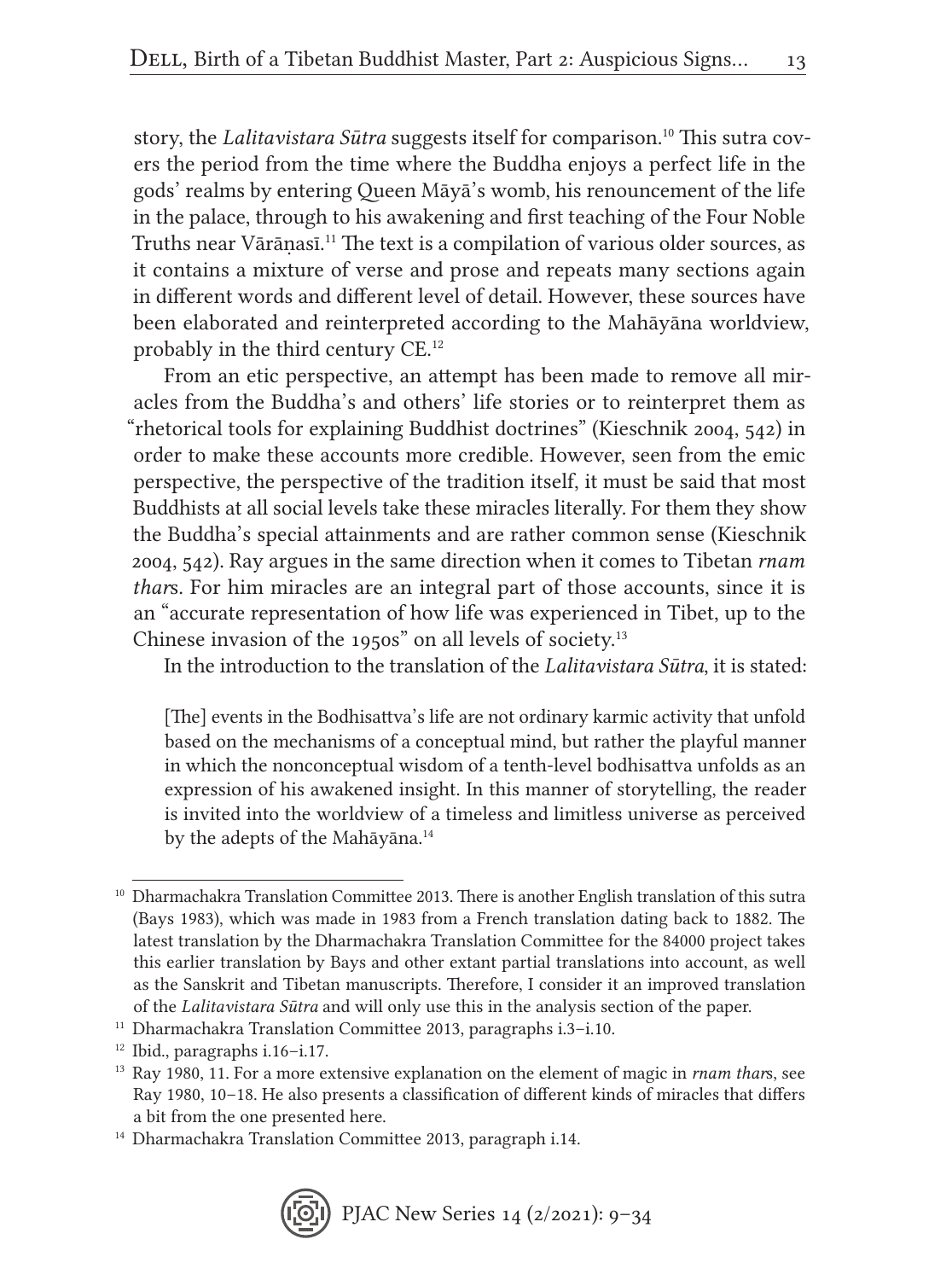story, the *Lalitavistara Sūtra* suggests itself for comparison.10 This sutra covers the period from the time where the Buddha enjoys a perfect life in the gods' realms by entering Queen Māyā's womb, his renouncement of the life in the palace, through to his awakening and first teaching of the Four Noble Truths near Vārāṇasī.11 The text is a compilation of various older sources, as it contains a mixture of verse and prose and repeats many sections again in different words and different level of detail. However, these sources have been elaborated and reinterpreted according to the Mahāyāna worldview, probably in the third century CE.12

From an etic perspective, an attempt has been made to remove all miracles from the Buddha's and others' life stories or to reinterpret them as "rhetorical tools for explaining Buddhist doctrines" (Kieschnik 2004, 542) in order to make these accounts more credible. However, seen from the emic perspective, the perspective of the tradition itself, it must be said that most Buddhists at all social levels take these miracles literally. For them they show the Buddha's special attainments and are rather common sense (Kieschnik 2004, 542). Ray argues in the same direction when it comes to Tibetan *rnam thar*s. For him miracles are an integral part of those accounts, since it is an "accurate representation of how life was experienced in Tibet, up to the Chinese invasion of the 1950s" on all levels of society.13

In the introduction to the translation of the *Lalitavistara Sūtra*, it is stated:

[The] events in the Bodhisattva's life are not ordinary karmic activity that unfold based on the mechanisms of a conceptual mind, but rather the playful manner in which the nonconceptual wisdom of a tenth-level bodhisattva unfolds as an expression of his awakened insight. In this manner of storytelling, the reader is invited into the worldview of a timeless and limitless universe as perceived by the adepts of the Mahāyāna.<sup>14</sup>

<sup>14</sup> Dharmachakra Translation Committee 2013, paragraph i.14.



<sup>&</sup>lt;sup>10</sup> Dharmachakra Translation Committee 2013. There is another English translation of this sutra (Bays 1983), which was made in 1983 from a French translation dating back to 1882. The latest translation by the Dharmachakra Translation Committee for the 84000 project takes this earlier translation by Bays and other extant partial translations into account, as well as the Sanskrit and Tibetan manuscripts. Therefore, I consider it an improved translation of the *Lalitavistara Sūtra* and will only use this in the analysis section of the paper.

<sup>&</sup>lt;sup>11</sup> Dharmachakra Translation Committee 2013, paragraphs i.3-i.10.

 $12$  Ibid., paragraphs i.16–i.17.

<sup>13</sup> Ray 1980, 11. For a more extensive explanation on the element of magic in *rnam thar*s, see Ray 1980, 10–18. He also presents a classification of different kinds of miracles that differs a bit from the one presented here.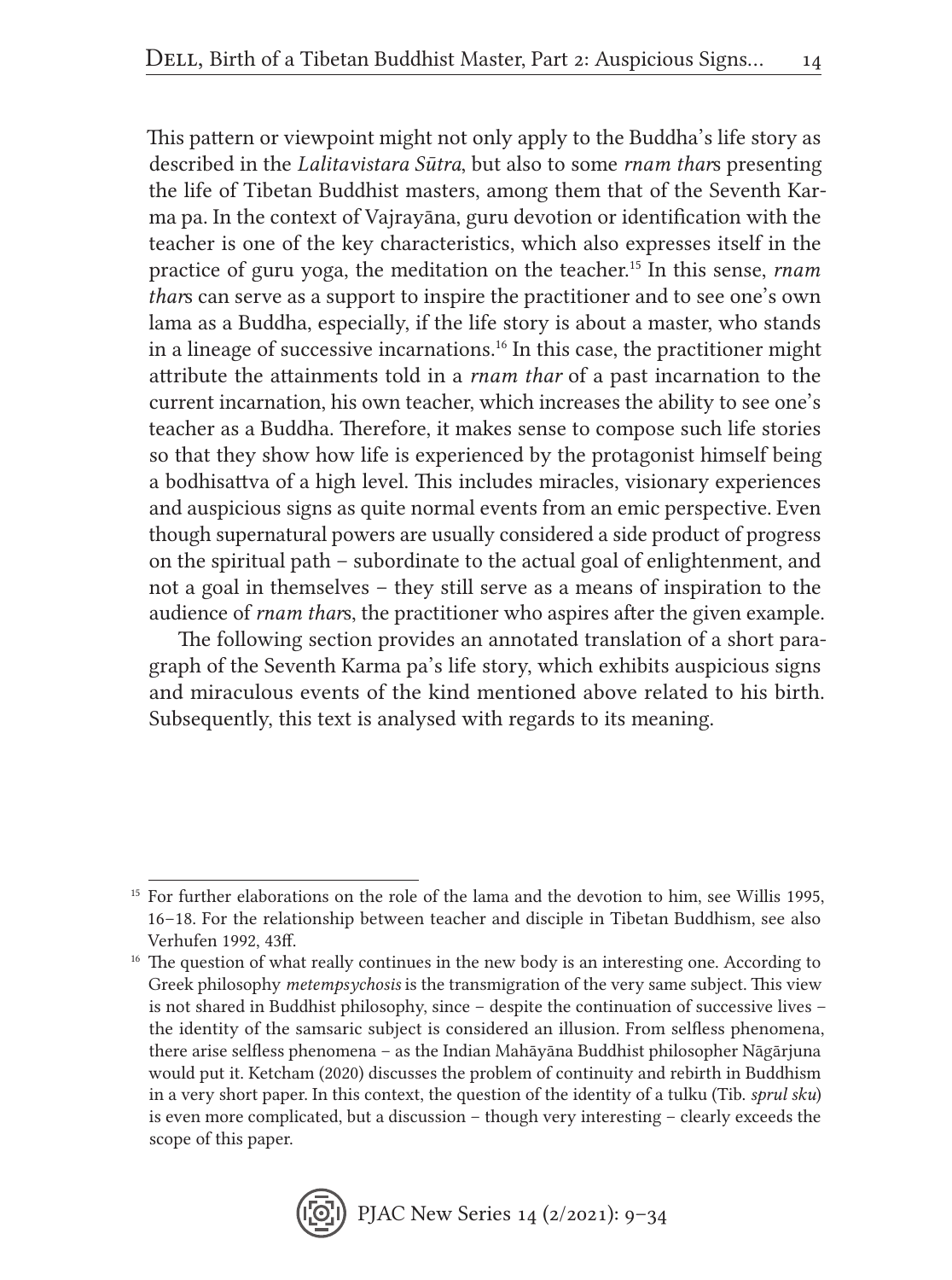This pattern or viewpoint might not only apply to the Buddha's life story as described in the *Lalitavistara Sūtra*, but also to some *rnam thar*s presenting the life of Tibetan Buddhist masters, among them that of the Seventh Karma pa. In the context of Vajrayāna, guru devotion or identification with the teacher is one of the key characteristics, which also expresses itself in the practice of guru yoga, the meditation on the teacher.15 In this sense, *rnam thar*s can serve as a support to inspire the practitioner and to see one's own lama as a Buddha, especially, if the life story is about a master, who stands in a lineage of successive incarnations.16 In this case, the practitioner might attribute the attainments told in a *rnam thar* of a past incarnation to the current incarnation, his own teacher, which increases the ability to see one's teacher as a Buddha. Therefore, it makes sense to compose such life stories so that they show how life is experienced by the protagonist himself being a bodhisattva of a high level. This includes miracles, visionary experiences and auspicious signs as quite normal events from an emic perspective. Even though supernatural powers are usually considered a side product of progress on the spiritual path – subordinate to the actual goal of enlightenment, and not a goal in themselves – they still serve as a means of inspiration to the audience of *rnam thar*s, the practitioner who aspires after the given example.

The following section provides an annotated translation of a short paragraph of the Seventh Karma pa's life story, which exhibits auspicious signs and miraculous events of the kind mentioned above related to his birth. Subsequently, this text is analysed with regards to its meaning.

<sup>&</sup>lt;sup>15</sup> For further elaborations on the role of the lama and the devotion to him, see Willis 1995, 16–18. For the relationship between teacher and disciple in Tibetan Buddhism, see also Verhufen 1992, 43ff.

<sup>&</sup>lt;sup>16</sup> The question of what really continues in the new body is an interesting one. According to Greek philosophy *metempsychosis* is the transmigration of the very same subject. This view is not shared in Buddhist philosophy, since – despite the continuation of successive lives – the identity of the samsaric subject is considered an illusion. From selfless phenomena, there arise selfless phenomena – as the Indian Mahāyāna Buddhist philosopher Nāgārjuna would put it. Ketcham (2020) discusses the problem of continuity and rebirth in Buddhism in a very short paper. In this context, the question of the identity of a tulku (Tib. *sprul sku*) is even more complicated, but a discussion – though very interesting – clearly exceeds the scope of this paper.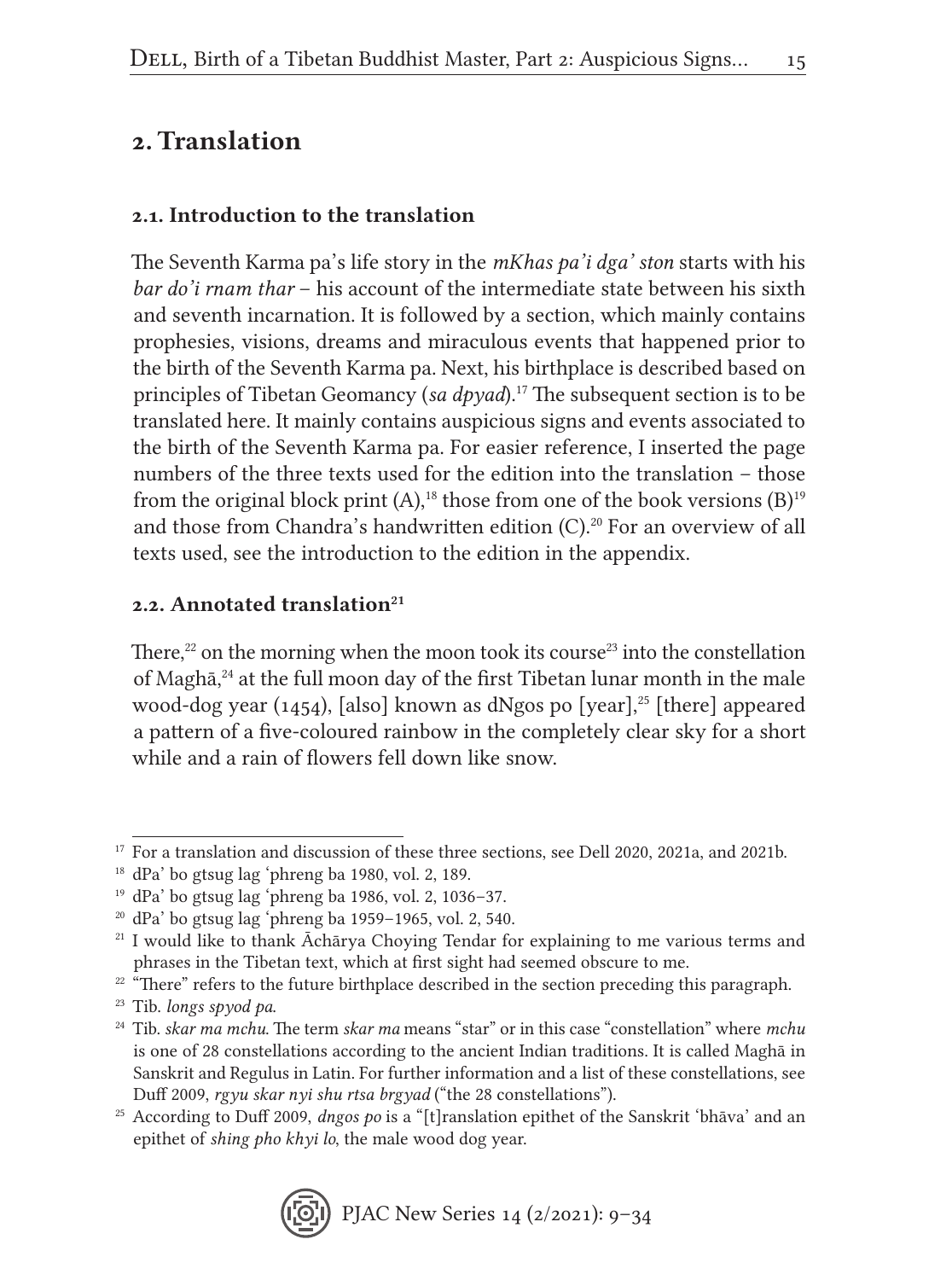### 2. Translation

### 2.1. Introduction to the translation

The Seventh Karma pa's life story in the *mKhas pa'i dga' ston* starts with his *bar do'i rnam thar* – his account of the intermediate state between his sixth and seventh incarnation. It is followed by a section, which mainly contains prophesies, visions, dreams and miraculous events that happened prior to the birth of the Seventh Karma pa. Next, his birthplace is described based on principles of Tibetan Geomancy (*sa dpyad*).17 The subsequent section is to be translated here. It mainly contains auspicious signs and events associated to the birth of the Seventh Karma pa. For easier reference, I inserted the page numbers of the three texts used for the edition into the translation – those from the original block print  $(A)$ ,<sup>18</sup> those from one of the book versions  $(B)$ <sup>19</sup> and those from Chandra's handwritten edition (C).<sup>20</sup> For an overview of all texts used, see the introduction to the edition in the appendix.

#### 2.2. Annotated translation $21$

There, $22$  on the morning when the moon took its course<sup>23</sup> into the constellation of Maghā,<sup>24</sup> at the full moon day of the first Tibetan lunar month in the male wood-dog year (1454), [also] known as dNgos po [year],<sup>25</sup> [there] appeared a pattern of a five-coloured rainbow in the completely clear sky for a short while and a rain of flowers fell down like snow.

<sup>25</sup> According to Duff 2009, *dngos po* is a "[t]ranslation epithet of the Sanskrit 'bhāva' and an epithet of *shing pho khyi lo*, the male wood dog year.



<sup>&</sup>lt;sup>17</sup> For a translation and discussion of these three sections, see Dell 2020, 2021a, and 2021b.

 $18$  dPa' bo gtsug lag 'phreng ba 1980, vol. 2, 189.

 $19$  dPa' bo gtsug lag 'phreng ba 1986, vol. 2, 1036–37.

 $20$  dPa' bo gtsug lag 'phreng ba 1959–1965, vol. 2, 540.

<sup>&</sup>lt;sup>21</sup> I would like to thank Āchārya Choying Tendar for explaining to me various terms and phrases in the Tibetan text, which at first sight had seemed obscure to me.

 $22$   $\mathrm{m}$  There" refers to the future birthplace described in the section preceding this paragraph.

<sup>23</sup> Tib. *longs spyod pa*.

<sup>24</sup> Tib. *skar ma mchu*. The term *skar ma* means "star" or in this case "constellation" where *mchu* is one of 28 constellations according to the ancient Indian traditions. It is called Maghā in Sanskrit and Regulus in Latin. For further information and a list of these constellations, see Duff 2009, *rgyu skar nyi shu rtsa brgyad* ("the 28 constellations").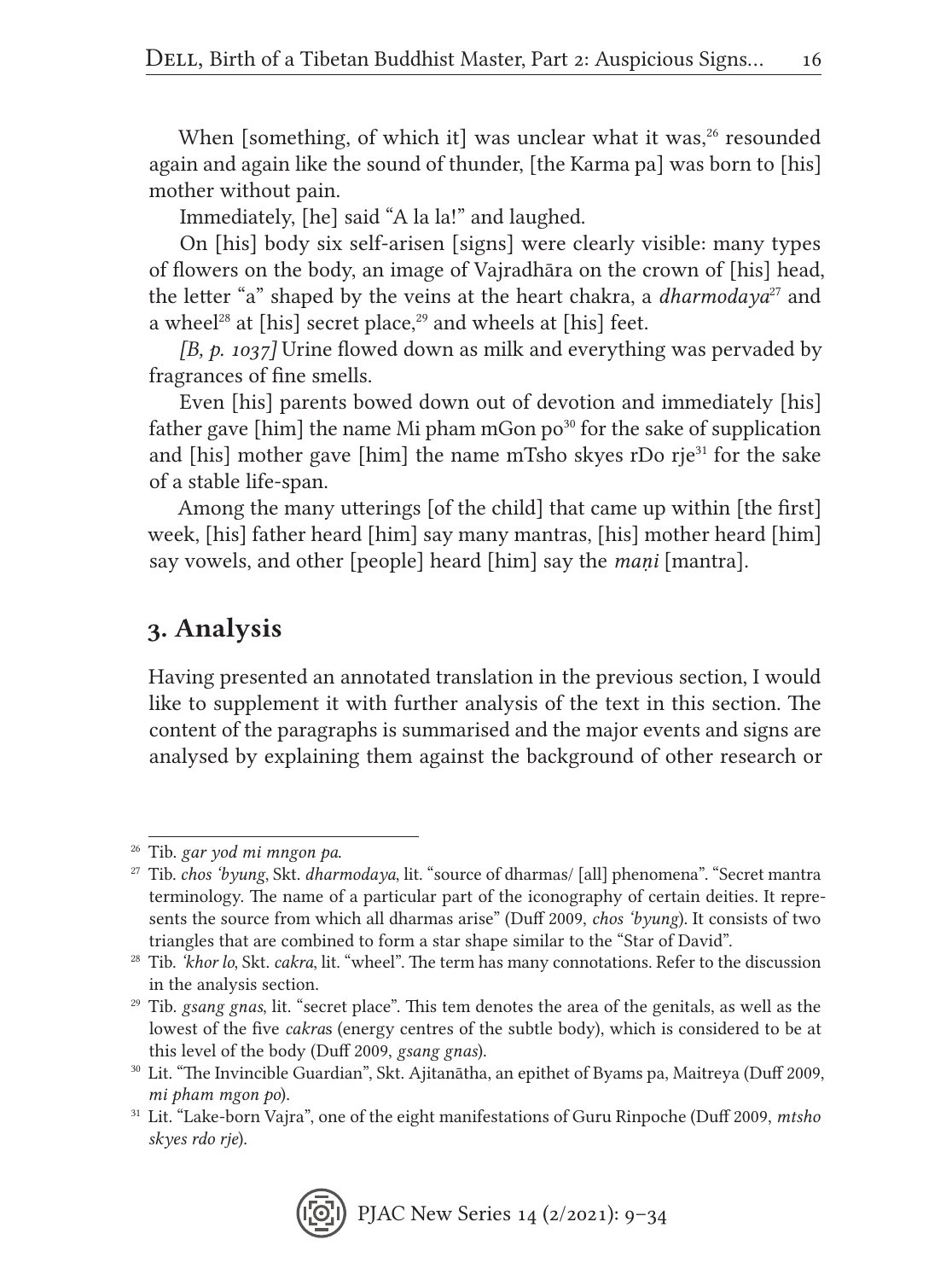When [something, of which it] was unclear what it was,<sup>26</sup> resounded again and again like the sound of thunder, [the Karma pa] was born to [his] mother without pain.

Immediately, [he] said "A la la!" and laughed.

On [his] body six self-arisen [signs] were clearly visible: many types of flowers on the body, an image of Vajradhāra on the crown of [his] head, the letter "a" shaped by the veins at the heart chakra, a *dharmodaya*<sup>27</sup> and a wheel<sup>28</sup> at [his] secret place,<sup>29</sup> and wheels at [his] feet.

*[B, p. 1037]* Urine flowed down as milk and everything was pervaded by fragrances of fine smells.

Even [his] parents bowed down out of devotion and immediately [his] father gave [him] the name Mi pham mGon  $po<sup>30</sup>$  for the sake of supplication and [his] mother gave [him] the name mTsho skyes rDo rje $31$  for the sake of a stable life-span.

Among the many utterings [of the child] that came up within [the first] week, [his] father heard [him] say many mantras, [his] mother heard [him] say vowels, and other [people] heard [him] say the *maṇi* [mantra].

### 3. Analysis

Having presented an annotated translation in the previous section, I would like to supplement it with further analysis of the text in this section. The content of the paragraphs is summarised and the major events and signs are analysed by explaining them against the background of other research or

<sup>26</sup> Tib. *gar yod mi mngon pa*.

<sup>27</sup> Tib. *chos 'byung*, Skt. *dharmodaya*, lit. "source of dharmas/ [all] phenomena". "Secret mantra terminology. The name of a particular part of the iconography of certain deities. It represents the source from which all dharmas arise" (Duff 2009, *chos 'byung*). It consists of two triangles that are combined to form a star shape similar to the "Star of David".

<sup>28</sup> Tib. *'khor lo*, Skt. *cakra*, lit. "wheel". The term has many connotations. Refer to the discussion in the analysis section.

<sup>29</sup> Tib. *gsang gnas*, lit. "secret place". This tem denotes the area of the genitals, as well as the lowest of the five *cakra*s (energy centres of the subtle body), which is considered to be at this level of the body (Duff 2009, *gsang gnas*).

<sup>30</sup> Lit. "The Invincible Guardian", Skt. Ajitanātha, an epithet of Byams pa, Maitreya (Duff 2009, *mi pham mgon po*).

<sup>31</sup> Lit. "Lake-born Vajra", one of the eight manifestations of Guru Rinpoche (Duff 2009, *mtsho skyes rdo rje*).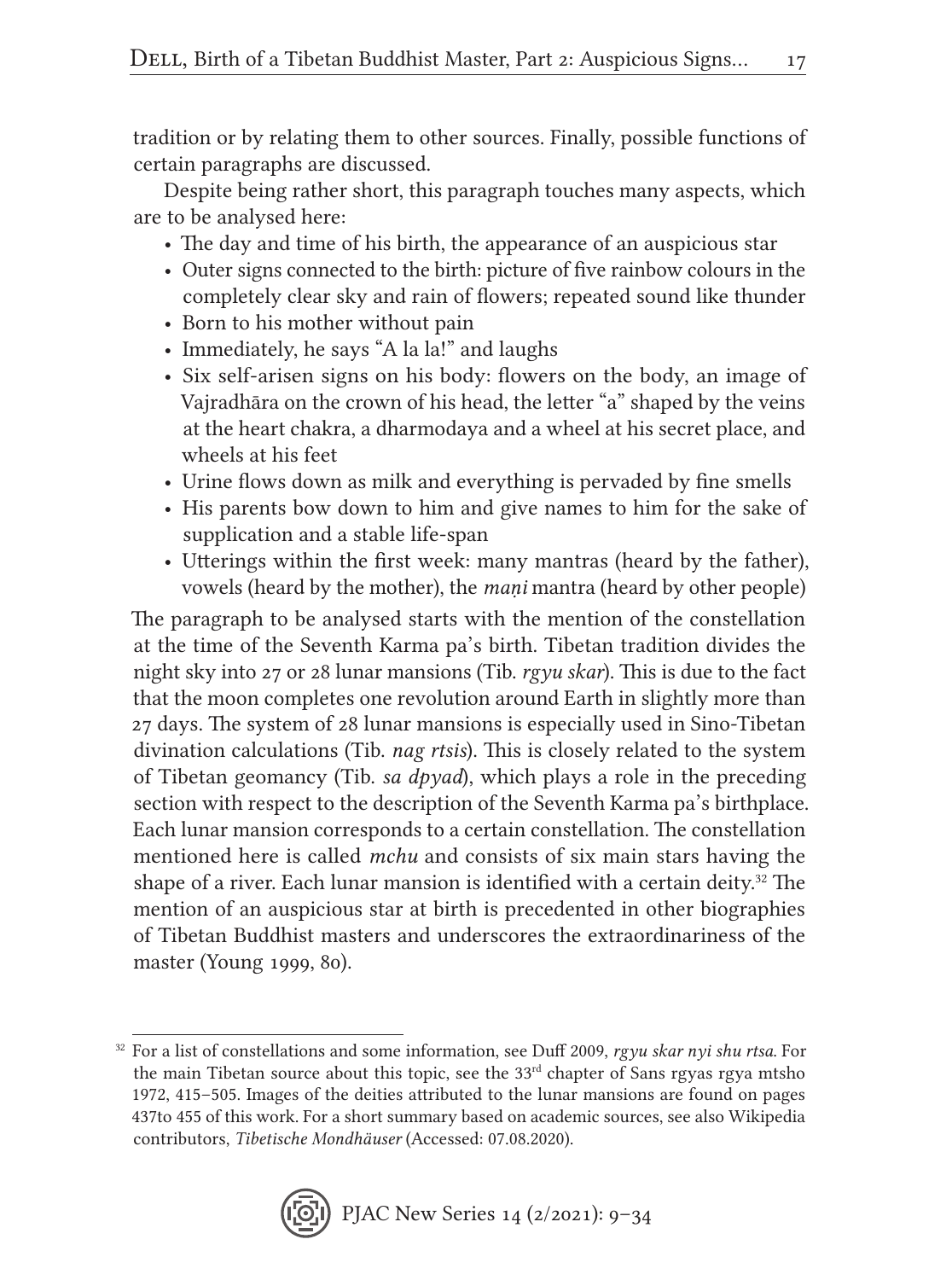tradition or by relating them to other sources. Finally, possible functions of certain paragraphs are discussed.

Despite being rather short, this paragraph touches many aspects, which are to be analysed here:

- The day and time of his birth, the appearance of an auspicious star
- Outer signs connected to the birth: picture of five rainbow colours in the completely clear sky and rain of flowers; repeated sound like thunder
- Born to his mother without pain
- Immediately, he says "A la la!" and laughs
- Six self-arisen signs on his body: flowers on the body, an image of Vajradhāra on the crown of his head, the letter "a" shaped by the veins at the heart chakra, a dharmodaya and a wheel at his secret place, and wheels at his feet
- Urine flows down as milk and everything is pervaded by fine smells
- His parents bow down to him and give names to him for the sake of supplication and a stable life-span
- Utterings within the first week: many mantras (heard by the father), vowels (heard by the mother), the *maṇi* mantra (heard by other people)

The paragraph to be analysed starts with the mention of the constellation at the time of the Seventh Karma pa's birth. Tibetan tradition divides the night sky into 27 or 28 lunar mansions (Tib. *rgyu skar*). This is due to the fact that the moon completes one revolution around Earth in slightly more than 27 days. The system of 28 lunar mansions is especially used in Sino-Tibetan divination calculations (Tib. *nag rtsis*). This is closely related to the system of Tibetan geomancy (Tib. *sa dpyad*), which plays a role in the preceding section with respect to the description of the Seventh Karma pa's birthplace. Each lunar mansion corresponds to a certain constellation. The constellation mentioned here is called *mchu* and consists of six main stars having the shape of a river. Each lunar mansion is identified with a certain deity.<sup>32</sup> The mention of an auspicious star at birth is precedented in other biographies of Tibetan Buddhist masters and underscores the extraordinariness of the master (Young 1999, 80).

<sup>32</sup> For a list of constellations and some information, see Duff 2009, *rgyu skar nyi shu rtsa*. For the main Tibetan source about this topic, see the  $33<sup>rd</sup>$  chapter of Sans rgyas rgya mtsho 1972, 415–505. Images of the deities attributed to the lunar mansions are found on pages 437to 455 of this work. For a short summary based on academic sources, see also Wikipedia contributors, *Tibetische Mondhäuser* (Accessed: 07.08.2020).

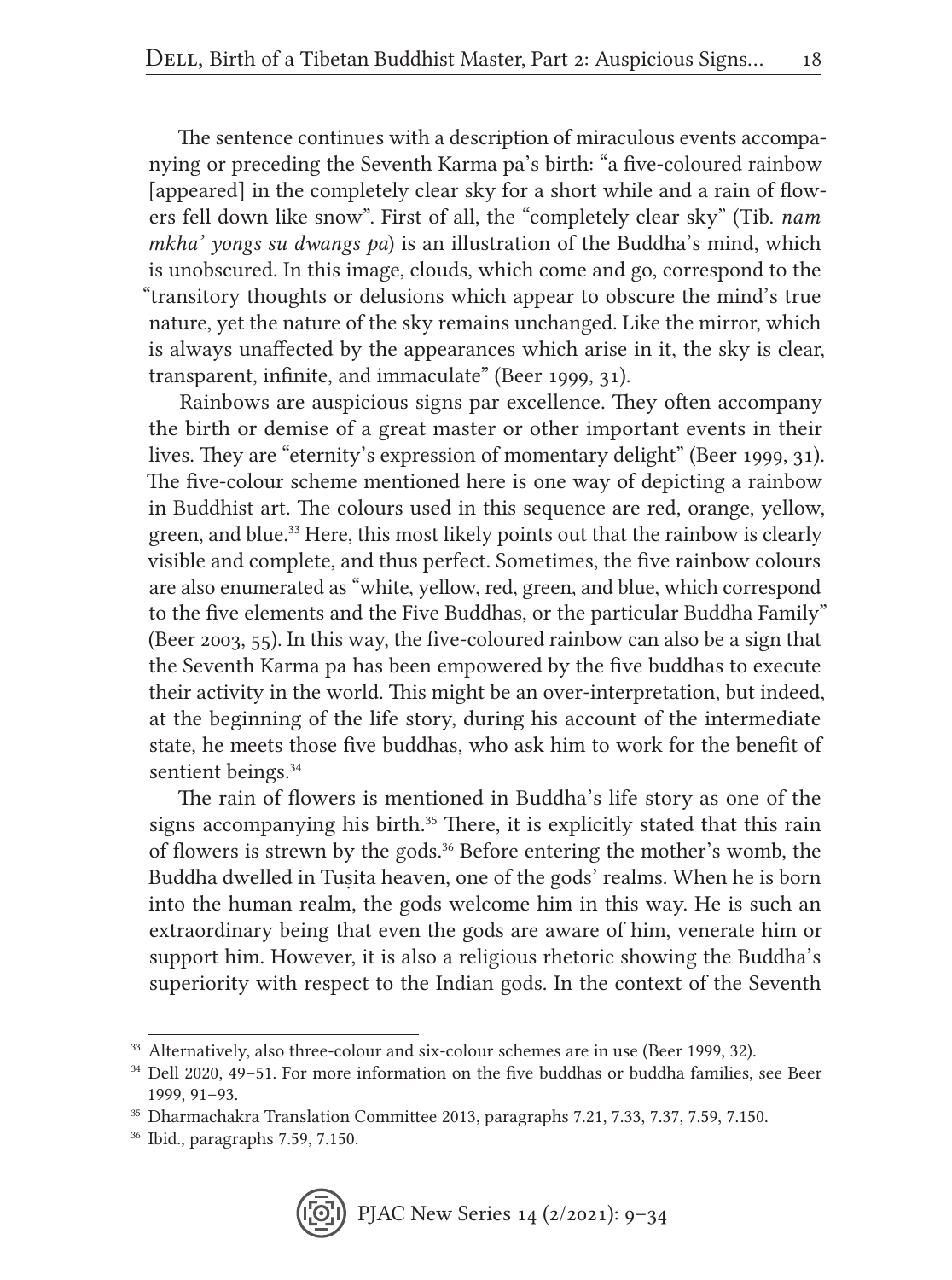The sentence continues with a description of miraculous events accompanying or preceding the Seventh Karma pa's birth: "a five-coloured rainbow [appeared] in the completely clear sky for a short while and a rain of flowers fell down like snow". First of all, the "completely clear sky" (Tib. *nam mkha' yongs su dwangs pa*) is an illustration of the Buddha's mind, which is unobscured. In this image, clouds, which come and go, correspond to the "transitory thoughts or delusions which appear to obscure the mind's true nature, yet the nature of the sky remains unchanged. Like the mirror, which is always unaffected by the appearances which arise in it, the sky is clear, transparent, infinite, and immaculate" (Beer 1999, 31).

Rainbows are auspicious signs par excellence. They often accompany the birth or demise of a great master or other important events in their lives. They are "eternity's expression of momentary delight" (Beer 1999, 31). The five-colour scheme mentioned here is one way of depicting a rainbow in Buddhist art. The colours used in this sequence are red, orange, yellow, green, and blue.<sup>33</sup> Here, this most likely points out that the rainbow is clearly visible and complete, and thus perfect. Sometimes, the five rainbow colours are also enumerated as "white, yellow, red, green, and blue, which correspond to the five elements and the Five Buddhas, or the particular Buddha Family" (Beer 2003, 55). In this way, the five-coloured rainbow can also be a sign that the Seventh Karma pa has been empowered by the five buddhas to execute their activity in the world. This might be an over-interpretation, but indeed, at the beginning of the life story, during his account of the intermediate state, he meets those five buddhas, who ask him to work for the benefit of sentient beings.<sup>34</sup>

The rain of flowers is mentioned in Buddha's life story as one of the signs accompanying his birth.<sup>35</sup> There, it is explicitly stated that this rain of flowers is strewn by the gods.36 Before entering the mother's womb, the Buddha dwelled in Tuṣita heaven, one of the gods' realms. When he is born into the human realm, the gods welcome him in this way. He is such an extraordinary being that even the gods are aware of him, venerate him or support him. However, it is also a religious rhetoric showing the Buddha's superiority with respect to the Indian gods. In the context of the Seventh

<sup>&</sup>lt;sup>33</sup> Alternatively, also three-colour and six-colour schemes are in use (Beer 1999, 32).

<sup>34</sup> Dell 2020, 49–51. For more information on the five buddhas or buddha families, see Beer 1999, 91–93.

<sup>35</sup> Dharmachakra Translation Committee 2013, paragraphs 7.21, 7.33, 7.37, 7.59, 7.150.

<sup>36</sup> Ibid., paragraphs 7.59, 7.150.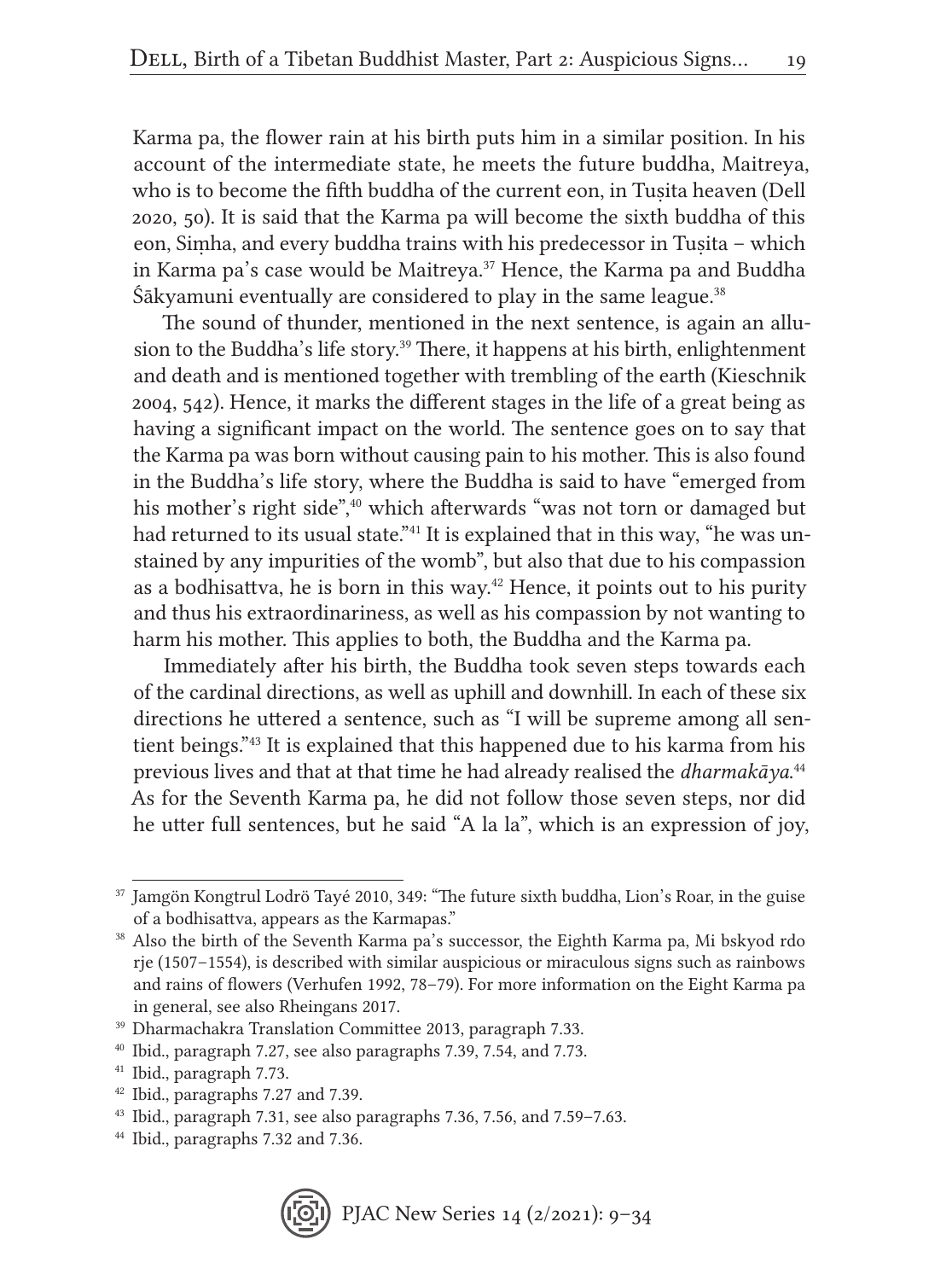Karma pa, the flower rain at his birth puts him in a similar position. In his account of the intermediate state, he meets the future buddha, Maitreya, who is to become the fifth buddha of the current eon, in Tusita heaven (Dell 2020, 50). It is said that the Karma pa will become the sixth buddha of this eon, Siṃha, and every buddha trains with his predecessor in Tuṣita – which in Karma pa's case would be Maitreya.<sup>37</sup> Hence, the Karma pa and Buddha  $\hat{S}$ ākyamuni eventually are considered to play in the same league.<sup>38</sup>

The sound of thunder, mentioned in the next sentence, is again an allusion to the Buddha's life story.<sup>39</sup> There, it happens at his birth, enlightenment and death and is mentioned together with trembling of the earth (Kieschnik 2004, 542). Hence, it marks the different stages in the life of a great being as having a significant impact on the world. The sentence goes on to say that the Karma pa was born without causing pain to his mother. This is also found in the Buddha's life story, where the Buddha is said to have "emerged from his mother's right side",<sup>40</sup> which afterwards "was not torn or damaged but had returned to its usual state.<sup>"41</sup> It is explained that in this way, "he was unstained by any impurities of the womb", but also that due to his compassion as a bodhisattva, he is born in this way.<sup>42</sup> Hence, it points out to his purity and thus his extraordinariness, as well as his compassion by not wanting to harm his mother. This applies to both, the Buddha and the Karma pa.

Immediately after his birth, the Buddha took seven steps towards each of the cardinal directions, as well as uphill and downhill. In each of these six directions he uttered a sentence, such as "I will be supreme among all sentient beings."43 It is explained that this happened due to his karma from his previous lives and that at that time he had already realised the *dharmakāya*. 44 As for the Seventh Karma pa, he did not follow those seven steps, nor did he utter full sentences, but he said "A la la", which is an expression of joy,

<sup>44</sup> Ibid., paragraphs 7.32 and 7.36.



<sup>37</sup> Jamgön Kongtrul Lodrö Tayé 2010, 349: "The future sixth buddha, Lion's Roar, in the guise of a bodhisattva, appears as the Karmapas."

<sup>38</sup> Also the birth of the Seventh Karma pa's successor, the Eighth Karma pa, Mi bskyod rdo rje (1507–1554), is described with similar auspicious or miraculous signs such as rainbows and rains of flowers (Verhufen 1992, 78–79). For more information on the Eight Karma pa in general, see also Rheingans 2017.

<sup>39</sup> Dharmachakra Translation Committee 2013, paragraph 7.33.

<sup>40</sup> Ibid., paragraph 7.27, see also paragraphs 7.39, 7.54, and 7.73.

<sup>41</sup> Ibid., paragraph 7.73.

<sup>42</sup> Ibid., paragraphs 7.27 and 7.39.

<sup>43</sup> Ibid., paragraph 7.31, see also paragraphs 7.36, 7.56, and 7.59–7.63.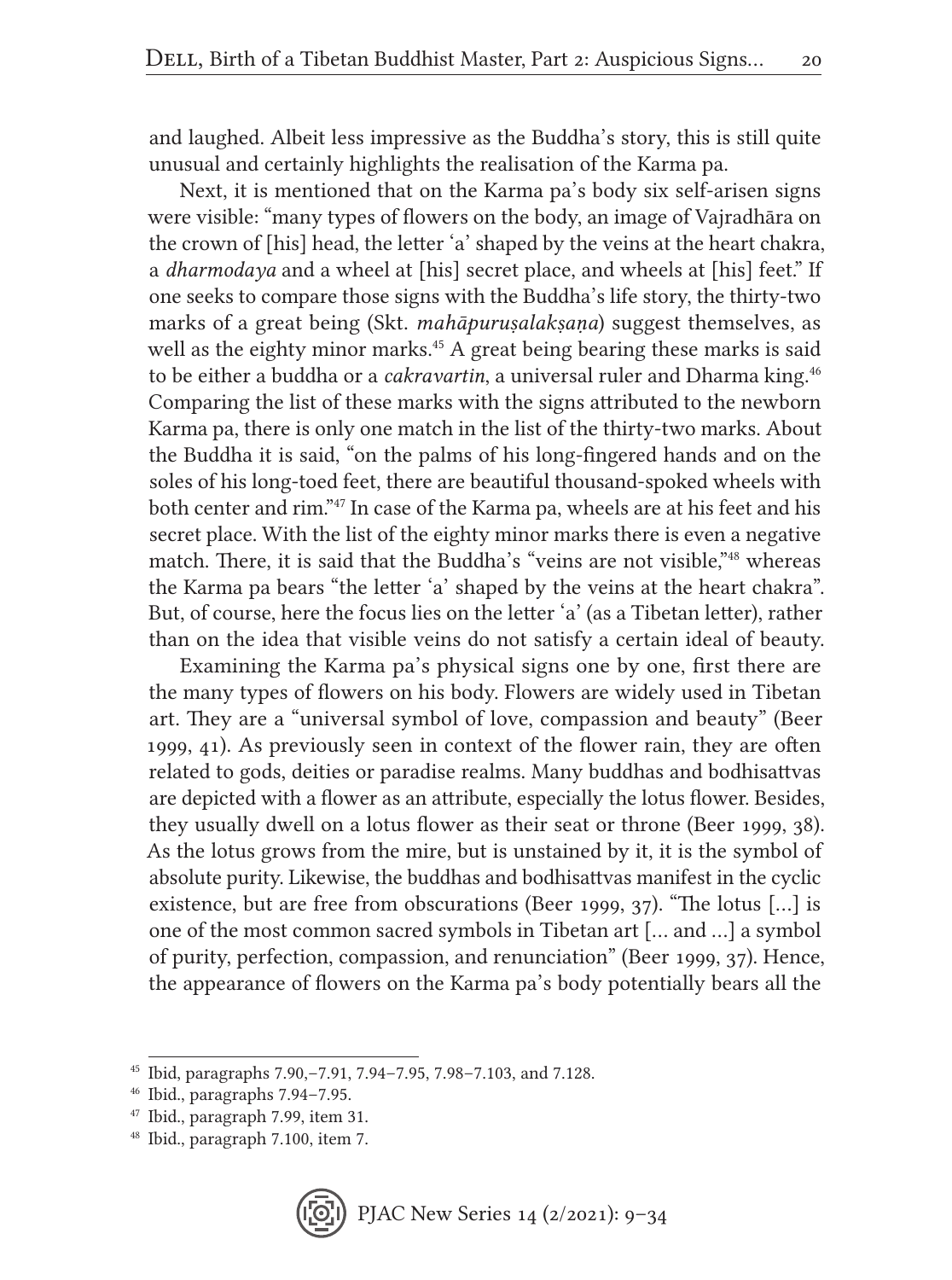and laughed. Albeit less impressive as the Buddha's story, this is still quite unusual and certainly highlights the realisation of the Karma pa.

Next, it is mentioned that on the Karma pa's body six self-arisen signs were visible: "many types of flowers on the body, an image of Vajradhāra on the crown of [his] head, the letter 'a' shaped by the veins at the heart chakra, a *dharmodaya* and a wheel at [his] secret place, and wheels at [his] feet." If one seeks to compare those signs with the Buddha's life story, the thirty-two marks of a great being (Skt. *mahāpuruṣalakṣaṇa*) suggest themselves, as well as the eighty minor marks.<sup>45</sup> A great being bearing these marks is said to be either a buddha or a *cakravartin*, a universal ruler and Dharma king.46 Comparing the list of these marks with the signs attributed to the newborn Karma pa, there is only one match in the list of the thirty-two marks. About the Buddha it is said, "on the palms of his long-fingered hands and on the soles of his long-toed feet, there are beautiful thousand-spoked wheels with both center and rim."47 In case of the Karma pa, wheels are at his feet and his secret place. With the list of the eighty minor marks there is even a negative match. There, it is said that the Buddha's "veins are not visible,"<sup>48</sup> whereas the Karma pa bears "the letter 'a' shaped by the veins at the heart chakra". But, of course, here the focus lies on the letter 'a' (as a Tibetan letter), rather than on the idea that visible veins do not satisfy a certain ideal of beauty.

Examining the Karma pa's physical signs one by one, first there are the many types of flowers on his body. Flowers are widely used in Tibetan art. They are a "universal symbol of love, compassion and beauty" (Beer 1999, 41). As previously seen in context of the flower rain, they are often related to gods, deities or paradise realms. Many buddhas and bodhisattvas are depicted with a flower as an attribute, especially the lotus flower. Besides, they usually dwell on a lotus flower as their seat or throne (Beer 1999, 38). As the lotus grows from the mire, but is unstained by it, it is the symbol of absolute purity. Likewise, the buddhas and bodhisattvas manifest in the cyclic existence, but are free from obscurations (Beer 1999, 37). "The lotus […] is one of the most common sacred symbols in Tibetan art [… and …] a symbol of purity, perfection, compassion, and renunciation" (Beer 1999, 37). Hence, the appearance of flowers on the Karma pa's body potentially bears all the

<sup>45</sup> Ibid, paragraphs 7.90,–7.91, 7.94–7.95, 7.98–7.103, and 7.128.

<sup>46</sup> Ibid., paragraphs 7.94–7.95.

<sup>47</sup> Ibid., paragraph 7.99, item 31.

<sup>48</sup> Ibid., paragraph 7.100, item 7.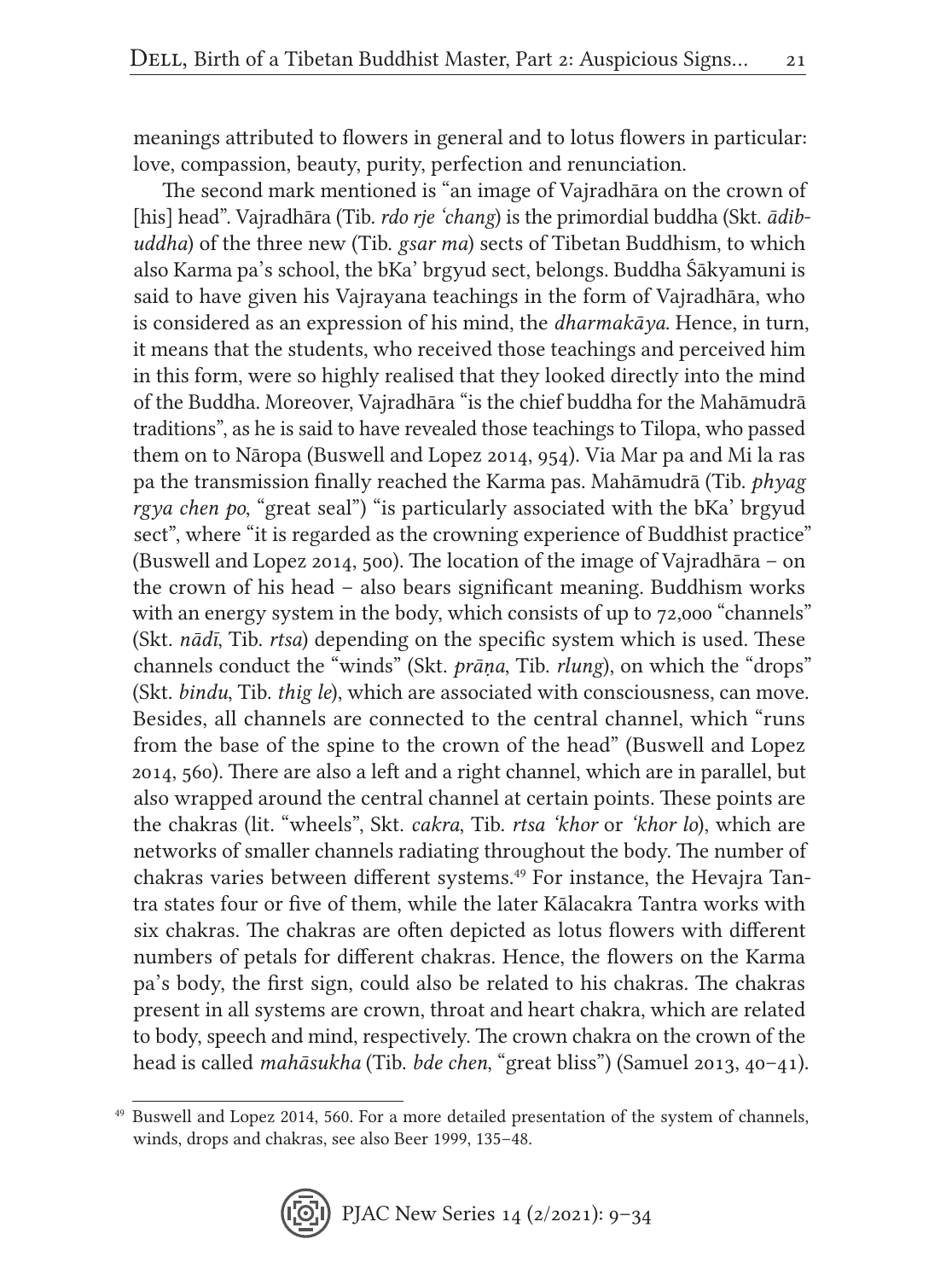meanings attributed to flowers in general and to lotus flowers in particular: love, compassion, beauty, purity, perfection and renunciation.

The second mark mentioned is "an image of Vajradhāra on the crown of [his] head". Vajradhāra (Tib. *rdo rje 'chang*) is the primordial buddha (Skt. *ādibuddha*) of the three new (Tib. *gsar ma*) sects of Tibetan Buddhism, to which also Karma pa's school, the bKa' brgyud sect, belongs. Buddha Śākyamuni is said to have given his Vajrayana teachings in the form of Vajradhāra, who is considered as an expression of his mind, the *dharmakāya*. Hence, in turn, it means that the students, who received those teachings and perceived him in this form, were so highly realised that they looked directly into the mind of the Buddha. Moreover, Vajradhāra "is the chief buddha for the Mahāmudrā traditions", as he is said to have revealed those teachings to Tilopa, who passed them on to Nāropa (Buswell and Lopez 2014, 954). Via Mar pa and Mi la ras pa the transmission finally reached the Karma pas. Mahāmudrā (Tib. *phyag rgya chen po*, "great seal") "is particularly associated with the bKa' brgyud sect", where "it is regarded as the crowning experience of Buddhist practice" (Buswell and Lopez 2014, 500). The location of the image of Vajradhāra – on the crown of his head – also bears significant meaning. Buddhism works with an energy system in the body, which consists of up to 72,000 "channels" (Skt. *nādī*, Tib. *rtsa*) depending on the specific system which is used. These channels conduct the "winds" (Skt. *prāṇa*, Tib. *rlung*), on which the "drops" (Skt. *bindu*, Tib. *thig le*), which are associated with consciousness, can move. Besides, all channels are connected to the central channel, which "runs from the base of the spine to the crown of the head" (Buswell and Lopez 2014, 560). There are also a left and a right channel, which are in parallel, but also wrapped around the central channel at certain points. These points are the chakras (lit. "wheels", Skt. *cakra*, Tib. *rtsa 'khor* or *'khor lo*), which are networks of smaller channels radiating throughout the body. The number of chakras varies between different systems.<sup>49</sup> For instance, the Hevajra Tantra states four or five of them, while the later Kālacakra Tantra works with six chakras. The chakras are often depicted as lotus flowers with different numbers of petals for different chakras. Hence, the flowers on the Karma pa's body, the first sign, could also be related to his chakras. The chakras present in all systems are crown, throat and heart chakra, which are related to body, speech and mind, respectively. The crown chakra on the crown of the head is called *mahāsukha* (Tib. *bde chen*, "great bliss") (Samuel 2013, 40–41).

<sup>49</sup> Buswell and Lopez 2014, 560. For a more detailed presentation of the system of channels, winds, drops and chakras, see also Beer 1999, 135–48.

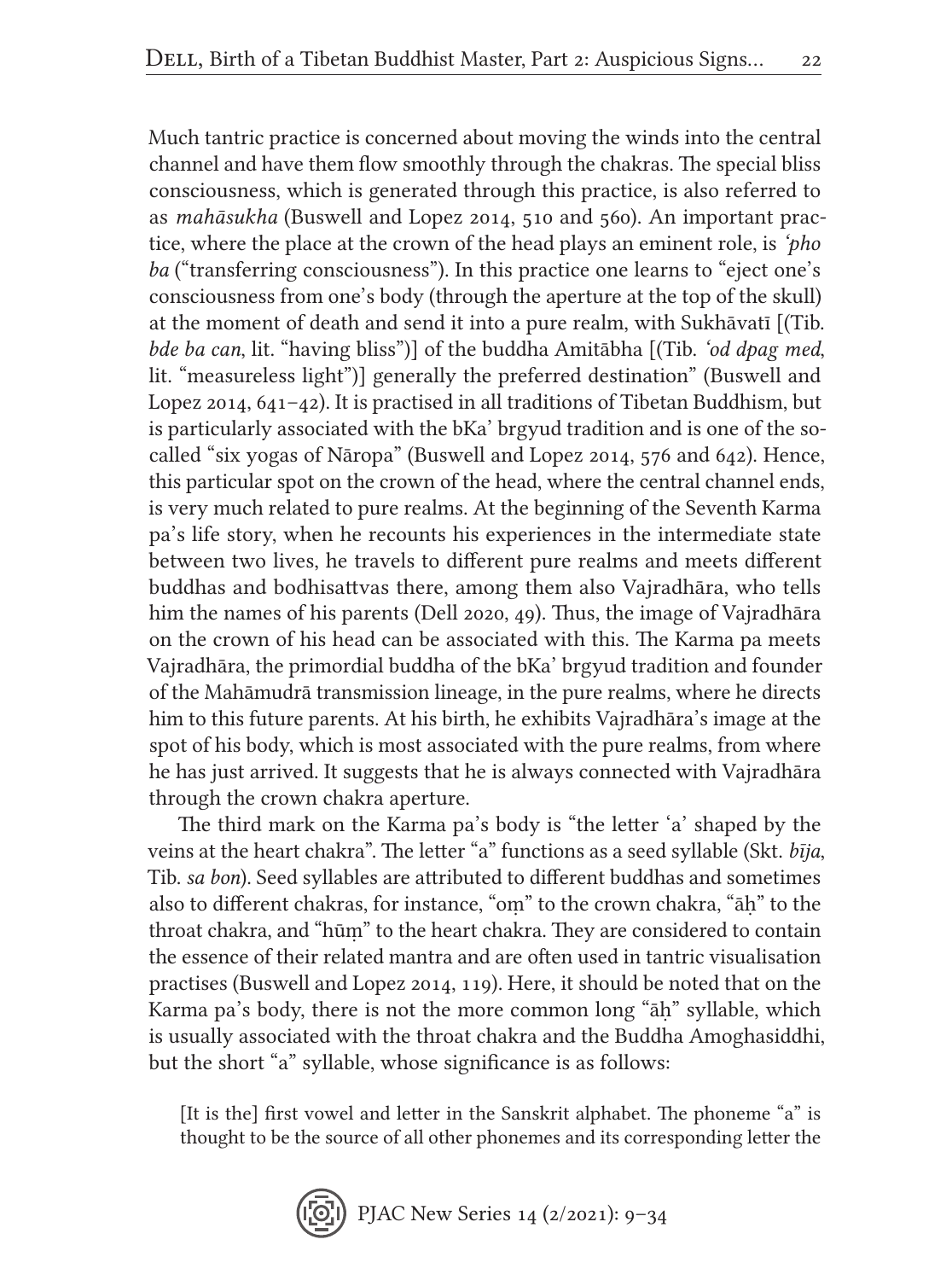Much tantric practice is concerned about moving the winds into the central channel and have them flow smoothly through the chakras. The special bliss consciousness, which is generated through this practice, is also referred to as *mahāsukha* (Buswell and Lopez 2014, 510 and 560). An important practice, where the place at the crown of the head plays an eminent role, is *'pho ba* ("transferring consciousness"). In this practice one learns to "eject one's consciousness from one's body (through the aperture at the top of the skull) at the moment of death and send it into a pure realm, with Sukhāvatī [(Tib. *bde ba can*, lit. "having bliss")] of the buddha Amitābha [(Tib. *'od dpag med*, lit. "measureless light")] generally the preferred destination" (Buswell and Lopez 2014, 641–42). It is practised in all traditions of Tibetan Buddhism, but is particularly associated with the bKa' brgyud tradition and is one of the socalled "six yogas of Nāropa" (Buswell and Lopez 2014, 576 and 642). Hence, this particular spot on the crown of the head, where the central channel ends, is very much related to pure realms. At the beginning of the Seventh Karma pa's life story, when he recounts his experiences in the intermediate state between two lives, he travels to different pure realms and meets different buddhas and bodhisattvas there, among them also Vajradhāra, who tells him the names of his parents (Dell 2020, 49). Thus, the image of Vajradhāra on the crown of his head can be associated with this. The Karma pa meets Vajradhāra, the primordial buddha of the bKa' brgyud tradition and founder of the Mahāmudrā transmission lineage, in the pure realms, where he directs him to this future parents. At his birth, he exhibits Vajradhāra's image at the spot of his body, which is most associated with the pure realms, from where he has just arrived. It suggests that he is always connected with Vajradhāra through the crown chakra aperture.

The third mark on the Karma pa's body is "the letter 'a' shaped by the veins at the heart chakra". The letter "a" functions as a seed syllable (Skt. *bīja*, Tib. *sa bon*). Seed syllables are attributed to different buddhas and sometimes also to different chakras, for instance, "oṃ" to the crown chakra, "āḥ" to the throat chakra, and "hūṃ" to the heart chakra. They are considered to contain the essence of their related mantra and are often used in tantric visualisation practises (Buswell and Lopez 2014, 119). Here, it should be noted that on the Karma pa's body, there is not the more common long "āḥ" syllable, which is usually associated with the throat chakra and the Buddha Amoghasiddhi, but the short "a" syllable, whose significance is as follows:

[It is the] first vowel and letter in the Sanskrit alphabet. The phoneme "a" is thought to be the source of all other phonemes and its corresponding letter the

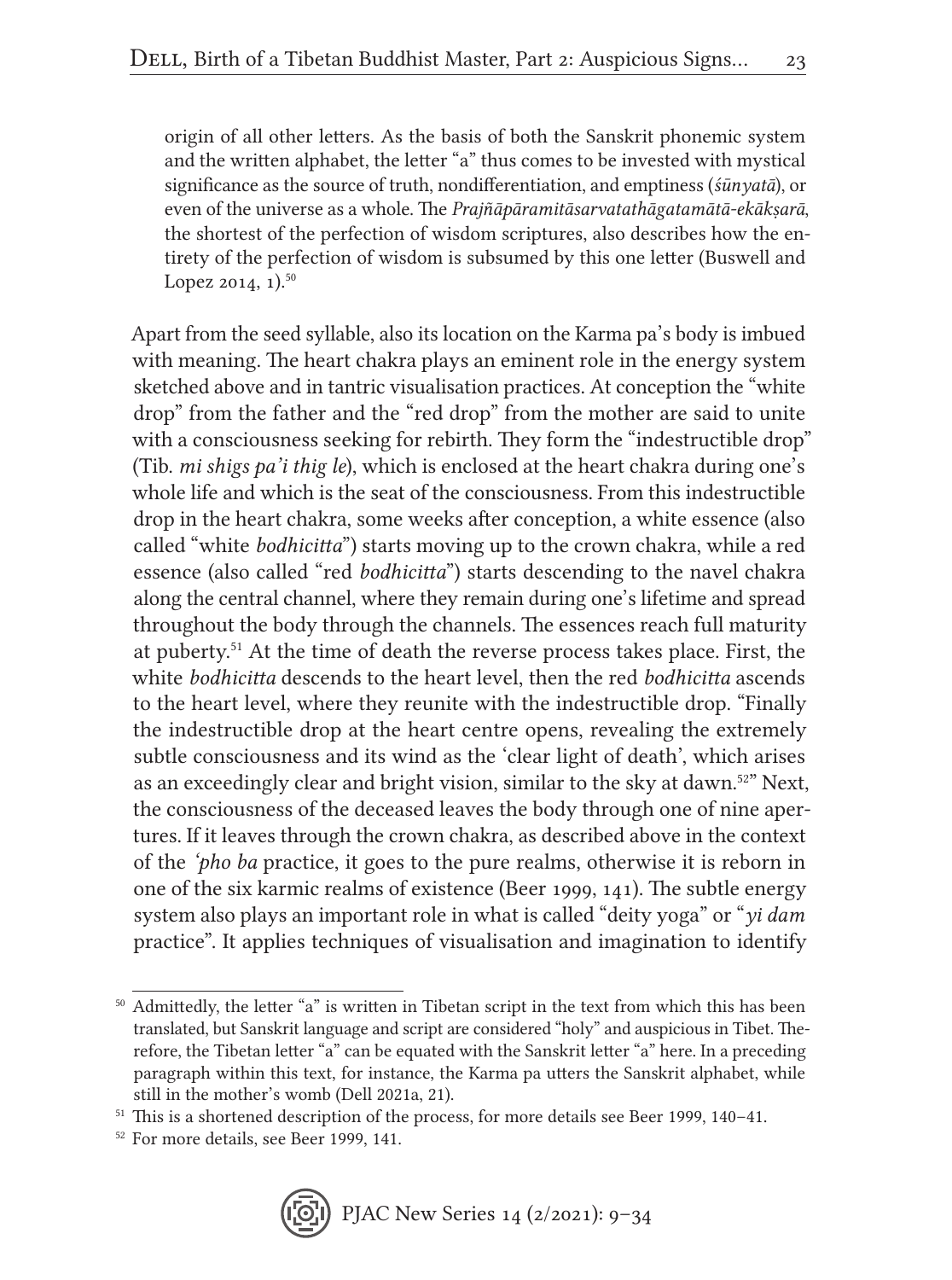origin of all other letters. As the basis of both the Sanskrit phonemic system and the written alphabet, the letter "a" thus comes to be invested with mystical significance as the source of truth, nondifferentiation, and emptiness (*śūnyatā*), or even of the universe as a whole. The *Prajñāpāramitāsarvatathāgatamātā-ekākṣarā*, the shortest of the perfection of wisdom scriptures, also describes how the entirety of the perfection of wisdom is subsumed by this one letter (Buswell and Lopez 2014,  $1$ ).<sup>50</sup>

Apart from the seed syllable, also its location on the Karma pa's body is imbued with meaning. The heart chakra plays an eminent role in the energy system sketched above and in tantric visualisation practices. At conception the "white drop" from the father and the "red drop" from the mother are said to unite with a consciousness seeking for rebirth. They form the "indestructible drop" (Tib. *mi shigs pa'i thig le*), which is enclosed at the heart chakra during one's whole life and which is the seat of the consciousness. From this indestructible drop in the heart chakra, some weeks after conception, a white essence (also called "white *bodhicitta*") starts moving up to the crown chakra, while a red essence (also called "red *bodhicitta*") starts descending to the navel chakra along the central channel, where they remain during one's lifetime and spread throughout the body through the channels. The essences reach full maturity at puberty.51 At the time of death the reverse process takes place. First, the white *bodhicitta* descends to the heart level, then the red *bodhicitta* ascends to the heart level, where they reunite with the indestructible drop. "Finally the indestructible drop at the heart centre opens, revealing the extremely subtle consciousness and its wind as the 'clear light of death', which arises as an exceedingly clear and bright vision, similar to the sky at dawn.<sup>52"</sup> Next, the consciousness of the deceased leaves the body through one of nine apertures. If it leaves through the crown chakra, as described above in the context of the *'pho ba* practice, it goes to the pure realms, otherwise it is reborn in one of the six karmic realms of existence (Beer 1999, 141). The subtle energy system also plays an important role in what is called "deity yoga" or "*yi dam* practice". It applies techniques of visualisation and imagination to identify

 $^{\rm 50}$  Admittedly, the letter "a" is written in Tibetan script in the text from which this has been translated, but Sanskrit language and script are considered "holy" and auspicious in Tibet. Therefore, the Tibetan letter "a" can be equated with the Sanskrit letter "a" here. In a preceding paragraph within this text, for instance, the Karma pa utters the Sanskrit alphabet, while still in the mother's womb (Dell 2021a, 21).

<sup>51</sup> This is a shortened description of the process, for more details see Beer 1999, 140–41.

<sup>52</sup> For more details, see Beer 1999, 141.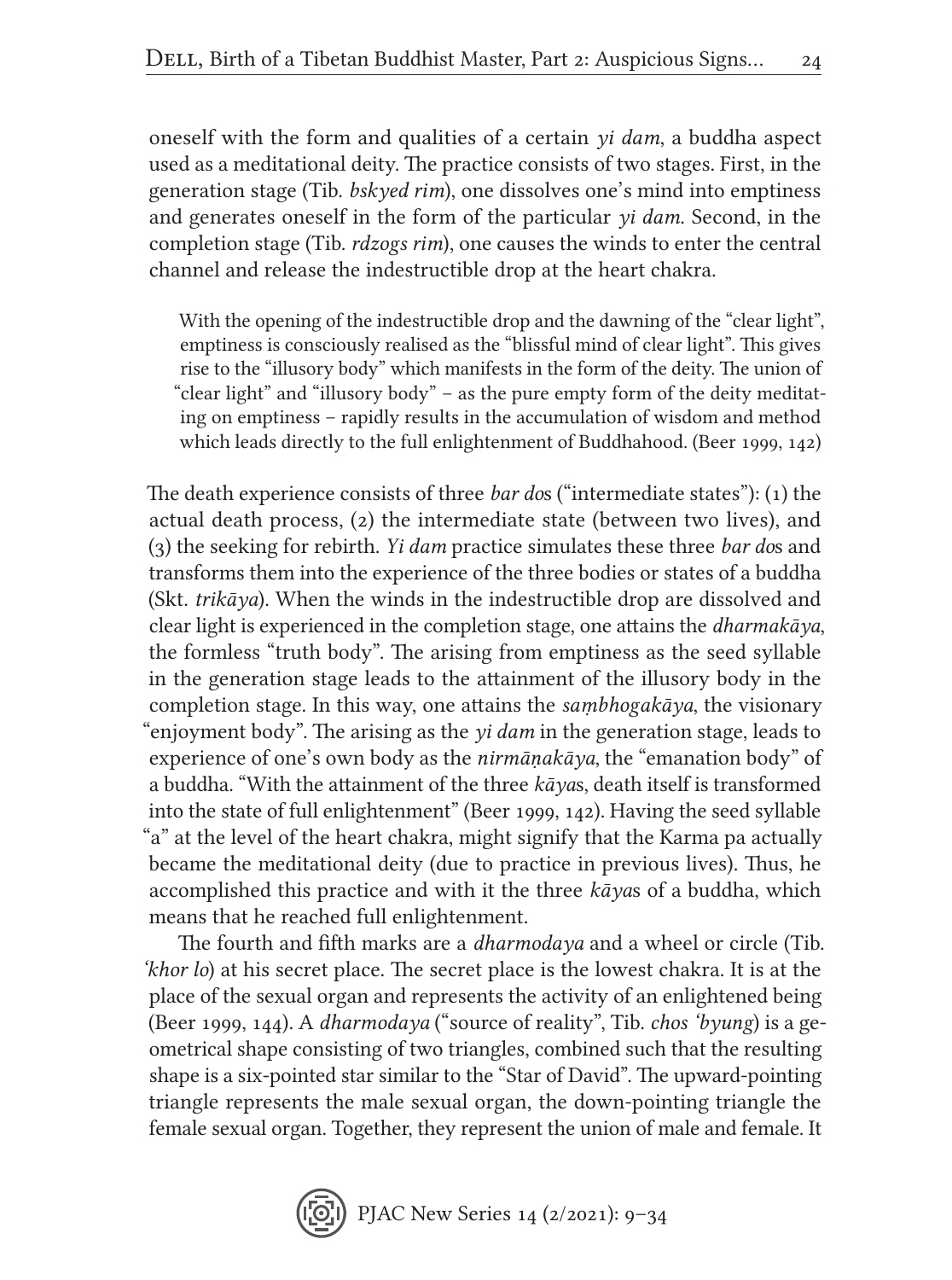oneself with the form and qualities of a certain *yi dam*, a buddha aspect used as a meditational deity. The practice consists of two stages. First, in the generation stage (Tib. *bskyed rim*), one dissolves one's mind into emptiness and generates oneself in the form of the particular *yi dam*. Second, in the completion stage (Tib. *rdzogs rim*), one causes the winds to enter the central channel and release the indestructible drop at the heart chakra.

With the opening of the indestructible drop and the dawning of the "clear light", emptiness is consciously realised as the "blissful mind of clear light". This gives rise to the "illusory body" which manifests in the form of the deity. The union of "clear light" and "illusory body" – as the pure empty form of the deity meditating on emptiness – rapidly results in the accumulation of wisdom and method which leads directly to the full enlightenment of Buddhahood. (Beer 1999, 142)

The death experience consists of three *bar do*s ("intermediate states"): (1) the actual death process, (2) the intermediate state (between two lives), and (3) the seeking for rebirth. *Yi dam* practice simulates these three *bar do*s and transforms them into the experience of the three bodies or states of a buddha (Skt. *trikāya*). When the winds in the indestructible drop are dissolved and clear light is experienced in the completion stage, one attains the *dharmakāya*, the formless "truth body". The arising from emptiness as the seed syllable in the generation stage leads to the attainment of the illusory body in the completion stage. In this way, one attains the *saṃbhogakāya*, the visionary "enjoyment body". The arising as the *yi dam* in the generation stage, leads to experience of one's own body as the *nirmāṇakāya*, the "emanation body" of a buddha. "With the attainment of the three *kāya*s, death itself is transformed into the state of full enlightenment" (Beer 1999, 142). Having the seed syllable "a" at the level of the heart chakra, might signify that the Karma pa actually became the meditational deity (due to practice in previous lives). Thus, he accomplished this practice and with it the three *kāya*s of a buddha, which means that he reached full enlightenment.

The fourth and fifth marks are a *dharmodaya* and a wheel or circle (Tib. *'khor lo*) at his secret place. The secret place is the lowest chakra. It is at the place of the sexual organ and represents the activity of an enlightened being (Beer 1999, 144). A *dharmodaya* ("source of reality", Tib. *chos 'byung*) is a geometrical shape consisting of two triangles, combined such that the resulting shape is a six-pointed star similar to the "Star of David". The upward-pointing triangle represents the male sexual organ, the down-pointing triangle the female sexual organ. Together, they represent the union of male and female. It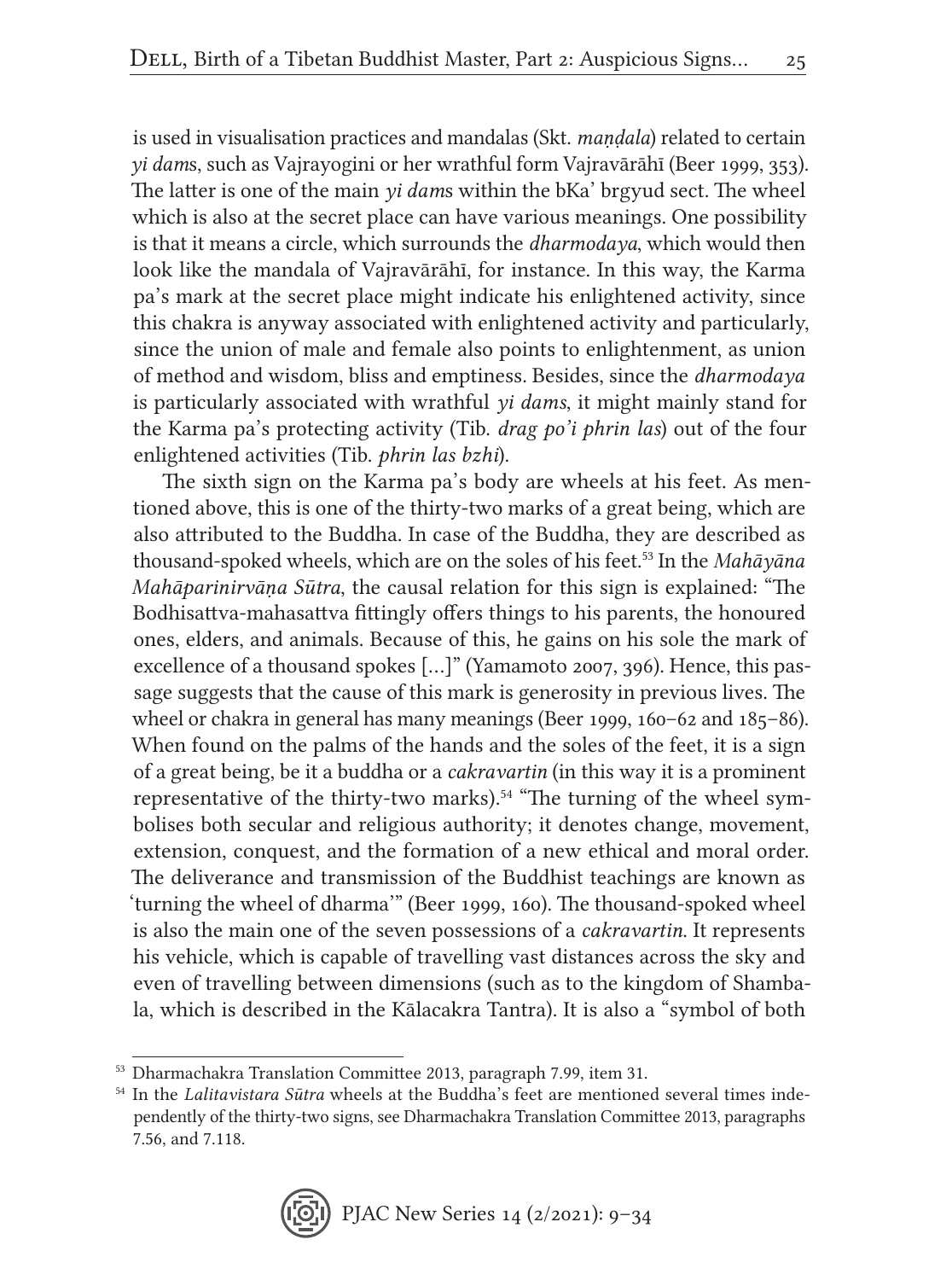is used in visualisation practices and mandalas (Skt. *maṇḍala*) related to certain *yi dam*s, such as Vajrayogini or her wrathful form Vajravārāhī (Beer 1999, 353). The latter is one of the main *yi dam*s within the bKa' brgyud sect. The wheel which is also at the secret place can have various meanings. One possibility is that it means a circle, which surrounds the *dharmodaya*, which would then look like the mandala of Vajravārāhī, for instance. In this way, the Karma pa's mark at the secret place might indicate his enlightened activity, since this chakra is anyway associated with enlightened activity and particularly, since the union of male and female also points to enlightenment, as union of method and wisdom, bliss and emptiness. Besides, since the *dharmodaya* is particularly associated with wrathful *yi dams*, it might mainly stand for the Karma pa's protecting activity (Tib. *drag po'i phrin las*) out of the four enlightened activities (Tib. *phrin las bzhi*).

The sixth sign on the Karma pa's body are wheels at his feet. As mentioned above, this is one of the thirty-two marks of a great being, which are also attributed to the Buddha. In case of the Buddha, they are described as thousand-spoked wheels, which are on the soles of his feet.53 In the *Mahāyāna Mahāparinirvāṇa Sūtra*, the causal relation for this sign is explained: "The Bodhisattva-mahasattva fittingly offers things to his parents, the honoured ones, elders, and animals. Because of this, he gains on his sole the mark of excellence of a thousand spokes […]" (Yamamoto 2007, 396). Hence, this passage suggests that the cause of this mark is generosity in previous lives. The wheel or chakra in general has many meanings (Beer 1999, 160–62 and 185–86). When found on the palms of the hands and the soles of the feet, it is a sign of a great being, be it a buddha or a *cakravartin* (in this way it is a prominent representative of the thirty-two marks).54 "The turning of the wheel symbolises both secular and religious authority; it denotes change, movement, extension, conquest, and the formation of a new ethical and moral order. The deliverance and transmission of the Buddhist teachings are known as 'turning the wheel of dharma'" (Beer 1999, 160). The thousand-spoked wheel is also the main one of the seven possessions of a *cakravartin*. It represents his vehicle, which is capable of travelling vast distances across the sky and even of travelling between dimensions (such as to the kingdom of Shambala, which is described in the Kālacakra Tantra). It is also a "symbol of both

<sup>54</sup> In the *Lalitavistara Sūtra* wheels at the Buddha's feet are mentioned several times independently of the thirty-two signs, see Dharmachakra Translation Committee 2013, paragraphs 7.56, and 7.118.



<sup>53</sup> Dharmachakra Translation Committee 2013, paragraph 7.99, item 31.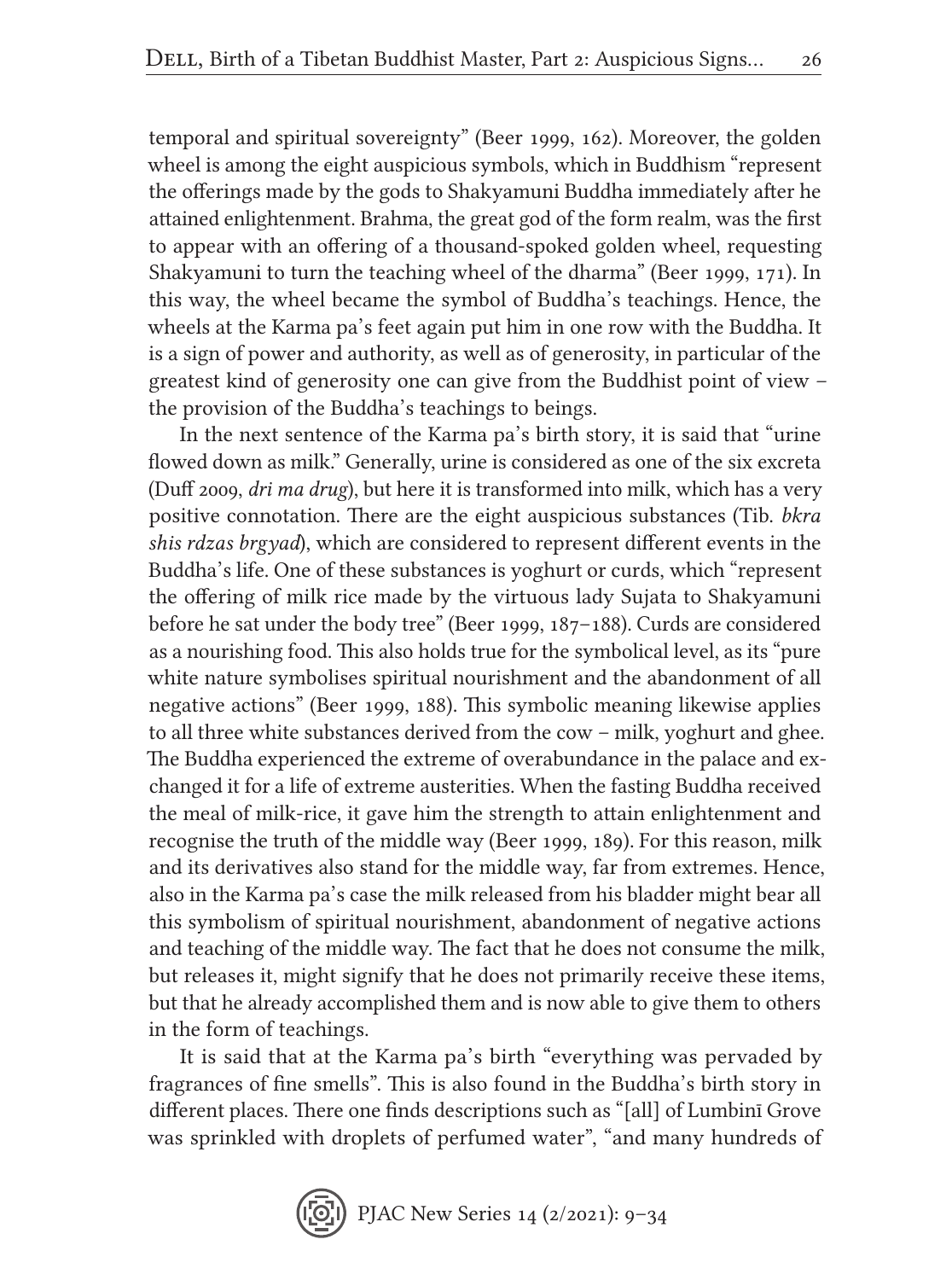temporal and spiritual sovereignty" (Beer 1999, 162). Moreover, the golden wheel is among the eight auspicious symbols, which in Buddhism "represent the offerings made by the gods to Shakyamuni Buddha immediately after he attained enlightenment. Brahma, the great god of the form realm, was the first to appear with an offering of a thousand-spoked golden wheel, requesting Shakyamuni to turn the teaching wheel of the dharma" (Beer 1999, 171). In this way, the wheel became the symbol of Buddha's teachings. Hence, the wheels at the Karma pa's feet again put him in one row with the Buddha. It is a sign of power and authority, as well as of generosity, in particular of the greatest kind of generosity one can give from the Buddhist point of view – the provision of the Buddha's teachings to beings.

In the next sentence of the Karma pa's birth story, it is said that "urine flowed down as milk." Generally, urine is considered as one of the six excreta (Duff 2009, *dri ma drug*), but here it is transformed into milk, which has a very positive connotation. There are the eight auspicious substances (Tib. *bkra shis rdzas brgyad*), which are considered to represent different events in the Buddha's life. One of these substances is yoghurt or curds, which "represent the offering of milk rice made by the virtuous lady Sujata to Shakyamuni before he sat under the body tree" (Beer 1999, 187–188). Curds are considered as a nourishing food. This also holds true for the symbolical level, as its "pure white nature symbolises spiritual nourishment and the abandonment of all negative actions" (Beer 1999, 188). This symbolic meaning likewise applies to all three white substances derived from the cow – milk, yoghurt and ghee. The Buddha experienced the extreme of overabundance in the palace and exchanged it for a life of extreme austerities. When the fasting Buddha received the meal of milk-rice, it gave him the strength to attain enlightenment and recognise the truth of the middle way (Beer 1999, 189). For this reason, milk and its derivatives also stand for the middle way, far from extremes. Hence, also in the Karma pa's case the milk released from his bladder might bear all this symbolism of spiritual nourishment, abandonment of negative actions and teaching of the middle way. The fact that he does not consume the milk, but releases it, might signify that he does not primarily receive these items, but that he already accomplished them and is now able to give them to others in the form of teachings.

It is said that at the Karma pa's birth "everything was pervaded by fragrances of fine smells". This is also found in the Buddha's birth story in different places. There one finds descriptions such as "[all] of Lumbinī Grove was sprinkled with droplets of perfumed water", "and many hundreds of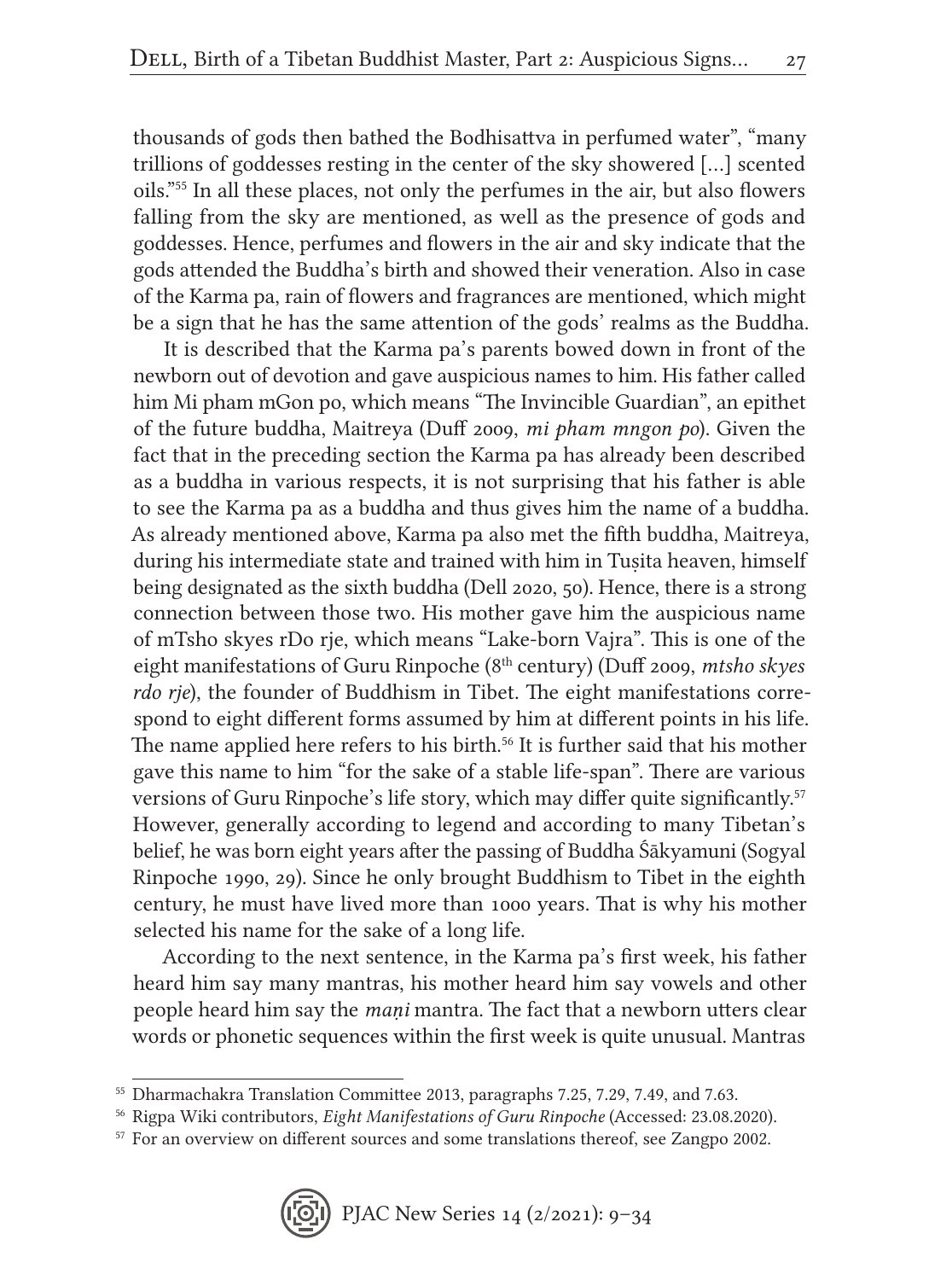thousands of gods then bathed the Bodhisattva in perfumed water", "many trillions of goddesses resting in the center of the sky showered […] scented oils."55 In all these places, not only the perfumes in the air, but also flowers falling from the sky are mentioned, as well as the presence of gods and goddesses. Hence, perfumes and flowers in the air and sky indicate that the gods attended the Buddha's birth and showed their veneration. Also in case of the Karma pa, rain of flowers and fragrances are mentioned, which might be a sign that he has the same attention of the gods' realms as the Buddha.

It is described that the Karma pa's parents bowed down in front of the newborn out of devotion and gave auspicious names to him. His father called him Mi pham mGon po, which means "The Invincible Guardian", an epithet of the future buddha, Maitreya (Duff 2009, *mi pham mngon po*). Given the fact that in the preceding section the Karma pa has already been described as a buddha in various respects, it is not surprising that his father is able to see the Karma pa as a buddha and thus gives him the name of a buddha. As already mentioned above, Karma pa also met the fifth buddha, Maitreya, during his intermediate state and trained with him in Tusita heaven, himself being designated as the sixth buddha (Dell 2020, 50). Hence, there is a strong connection between those two. His mother gave him the auspicious name of mTsho skyes rDo rje, which means "Lake-born Vajra". This is one of the eight manifestations of Guru Rinpoche (8th century) (Duff 2009, *mtsho skyes rdo rje*), the founder of Buddhism in Tibet. The eight manifestations correspond to eight different forms assumed by him at different points in his life. The name applied here refers to his birth.<sup>56</sup> It is further said that his mother gave this name to him "for the sake of a stable life-span". There are various versions of Guru Rinpoche's life story, which may differ quite significantly.<sup>57</sup> However, generally according to legend and according to many Tibetan's belief, he was born eight years after the passing of Buddha Śākyamuni (Sogyal Rinpoche 1990, 29). Since he only brought Buddhism to Tibet in the eighth century, he must have lived more than 1000 years. That is why his mother selected his name for the sake of a long life.

According to the next sentence, in the Karma pa's first week, his father heard him say many mantras, his mother heard him say vowels and other people heard him say the *maṇi* mantra. The fact that a newborn utters clear words or phonetic sequences within the first week is quite unusual. Mantras

<sup>57</sup> For an overview on different sources and some translations thereof, see Zangpo 2002.



<sup>55</sup> Dharmachakra Translation Committee 2013, paragraphs 7.25, 7.29, 7.49, and 7.63.

<sup>56</sup> Rigpa Wiki contributors, *Eight Manifestations of Guru Rinpoche* (Accessed: 23.08.2020).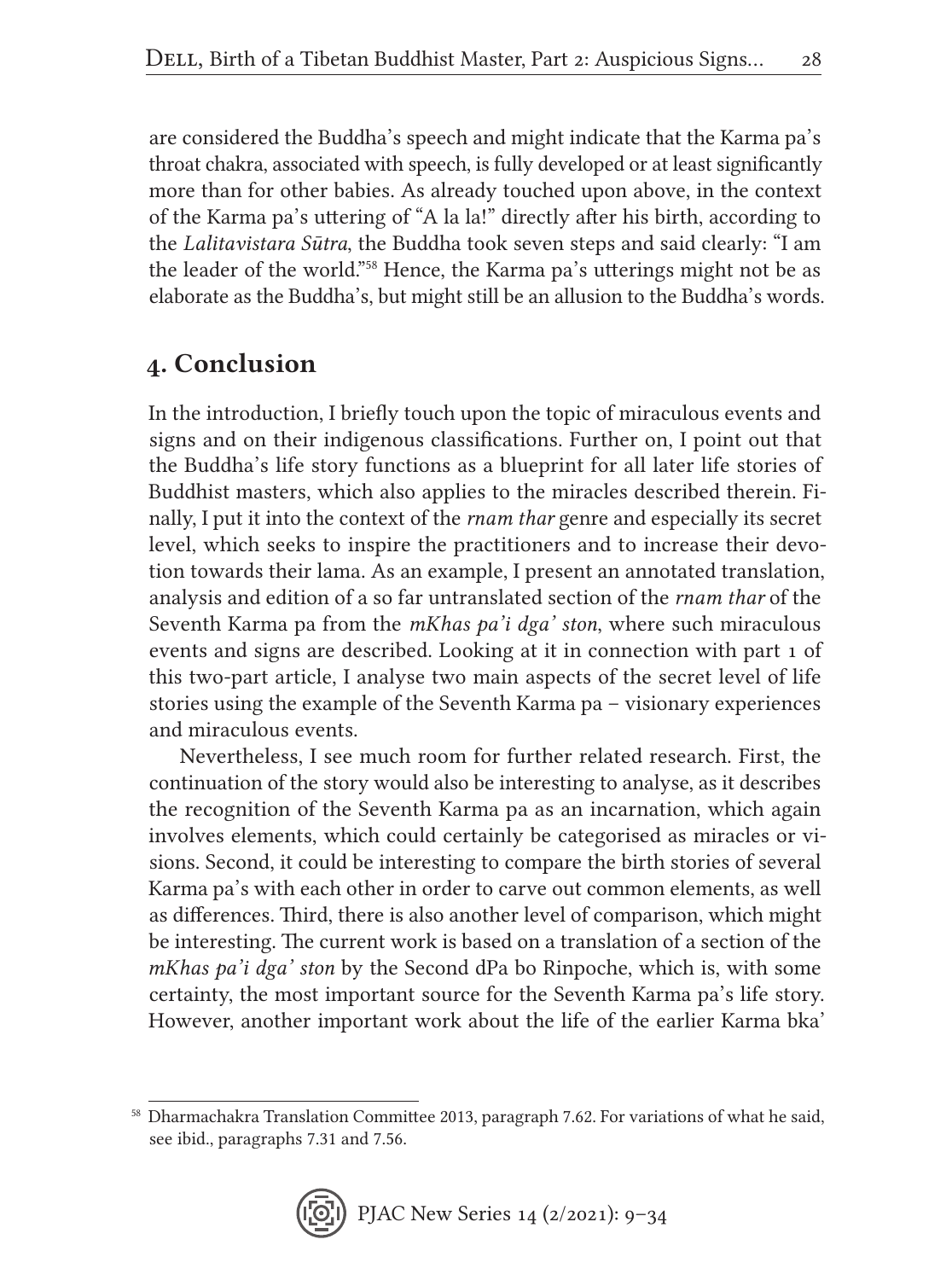are considered the Buddha's speech and might indicate that the Karma pa's throat chakra, associated with speech, is fully developed or at least significantly more than for other babies. As already touched upon above, in the context of the Karma pa's uttering of "A la la!" directly after his birth, according to the *Lalitavistara Sūtra*, the Buddha took seven steps and said clearly: "I am the leader of the world."58 Hence, the Karma pa's utterings might not be as elaborate as the Buddha's, but might still be an allusion to the Buddha's words.

### 4. Conclusion

In the introduction, I briefly touch upon the topic of miraculous events and signs and on their indigenous classifications. Further on, I point out that the Buddha's life story functions as a blueprint for all later life stories of Buddhist masters, which also applies to the miracles described therein. Finally, I put it into the context of the *rnam thar* genre and especially its secret level, which seeks to inspire the practitioners and to increase their devotion towards their lama. As an example, I present an annotated translation, analysis and edition of a so far untranslated section of the *rnam thar* of the Seventh Karma pa from the *mKhas pa'i dga' ston*, where such miraculous events and signs are described. Looking at it in connection with part 1 of this two-part article, I analyse two main aspects of the secret level of life stories using the example of the Seventh Karma pa – visionary experiences and miraculous events.

Nevertheless, I see much room for further related research. First, the continuation of the story would also be interesting to analyse, as it describes the recognition of the Seventh Karma pa as an incarnation, which again involves elements, which could certainly be categorised as miracles or visions. Second, it could be interesting to compare the birth stories of several Karma pa's with each other in order to carve out common elements, as well as differences. Third, there is also another level of comparison, which might be interesting. The current work is based on a translation of a section of the *mKhas pa'i dga' ston* by the Second dPa bo Rinpoche, which is, with some certainty, the most important source for the Seventh Karma pa's life story. However, another important work about the life of the earlier Karma bka'

<sup>&</sup>lt;sup>58</sup> Dharmachakra Translation Committee 2013, paragraph 7.62. For variations of what he said, see ibid., paragraphs 7.31 and 7.56.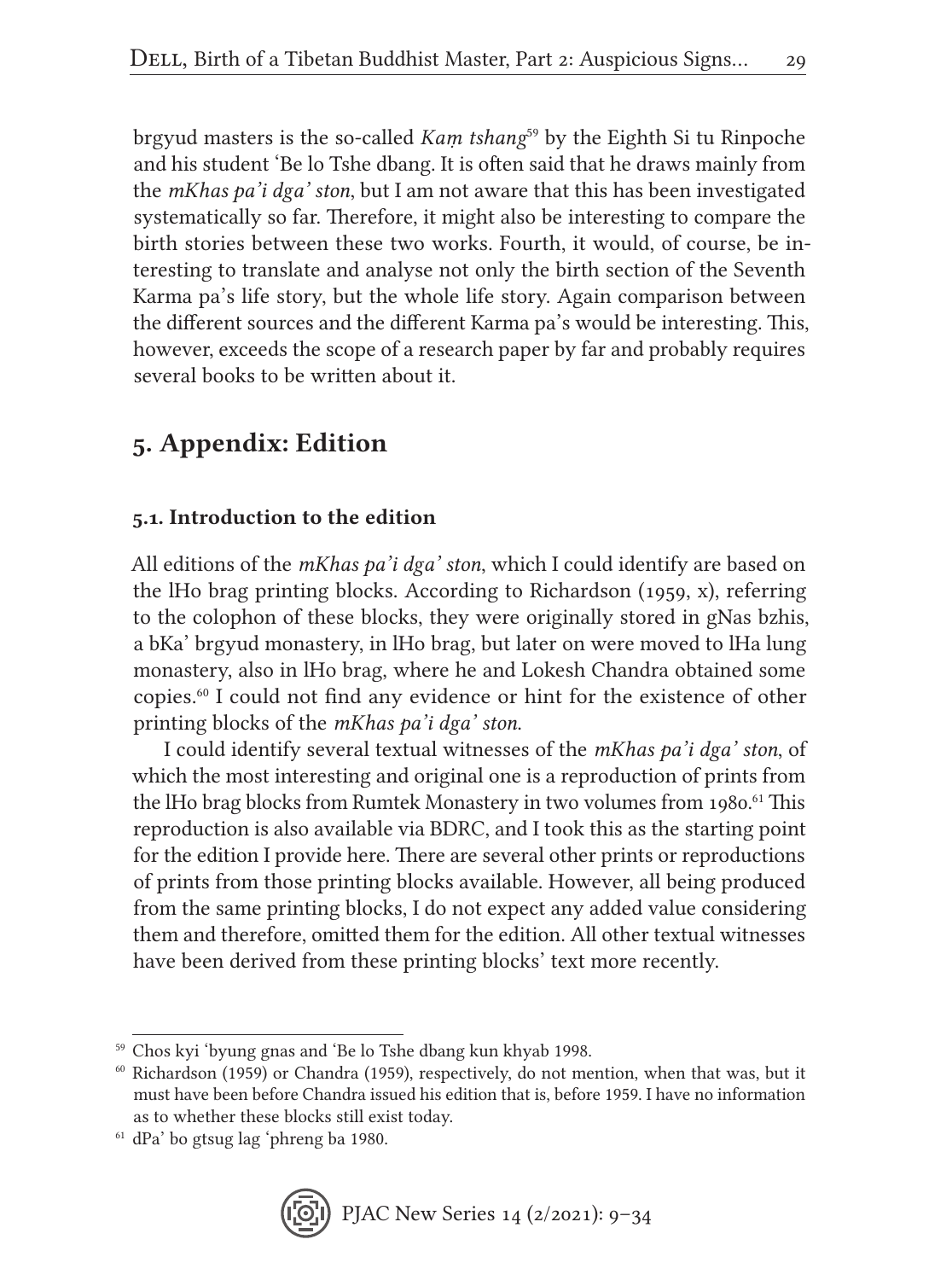brgyud masters is the so-called *Kaṃ tshang*<sup>59</sup> by the Eighth Si tu Rinpoche and his student 'Be lo Tshe dbang. It is often said that he draws mainly from the *mKhas pa'i dga' ston*, but I am not aware that this has been investigated systematically so far. Therefore, it might also be interesting to compare the birth stories between these two works. Fourth, it would, of course, be interesting to translate and analyse not only the birth section of the Seventh Karma pa's life story, but the whole life story. Again comparison between the different sources and the different Karma pa's would be interesting. This, however, exceeds the scope of a research paper by far and probably requires several books to be written about it.

## 5. Appendix: Edition

### 5.1. Introduction to the edition

All editions of the *mKhas pa'i dga' ston*, which I could identify are based on the lHo brag printing blocks. According to Richardson (1959, x), referring to the colophon of these blocks, they were originally stored in gNas bzhis, a bKa' brgyud monastery, in lHo brag, but later on were moved to lHa lung monastery, also in lHo brag, where he and Lokesh Chandra obtained some copies.60 I could not find any evidence or hint for the existence of other printing blocks of the *mKhas pa'i dga' ston*.

I could identify several textual witnesses of the *mKhas pa'i dga' ston*, of which the most interesting and original one is a reproduction of prints from the lHo brag blocks from Rumtek Monastery in two volumes from 1980.<sup>61</sup> This reproduction is also available via BDRC, and I took this as the starting point for the edition I provide here. There are several other prints or reproductions of prints from those printing blocks available. However, all being produced from the same printing blocks, I do not expect any added value considering them and therefore, omitted them for the edition. All other textual witnesses have been derived from these printing blocks' text more recently.

<sup>61</sup> dPa' bo gtsug lag 'phreng ba 1980.



<sup>59</sup> Chos kyi 'byung gnas and 'Be lo Tshe dbang kun khyab 1998.

 $60$  Richardson (1959) or Chandra (1959), respectively, do not mention, when that was, but it must have been before Chandra issued his edition that is, before 1959. I have no information as to whether these blocks still exist today.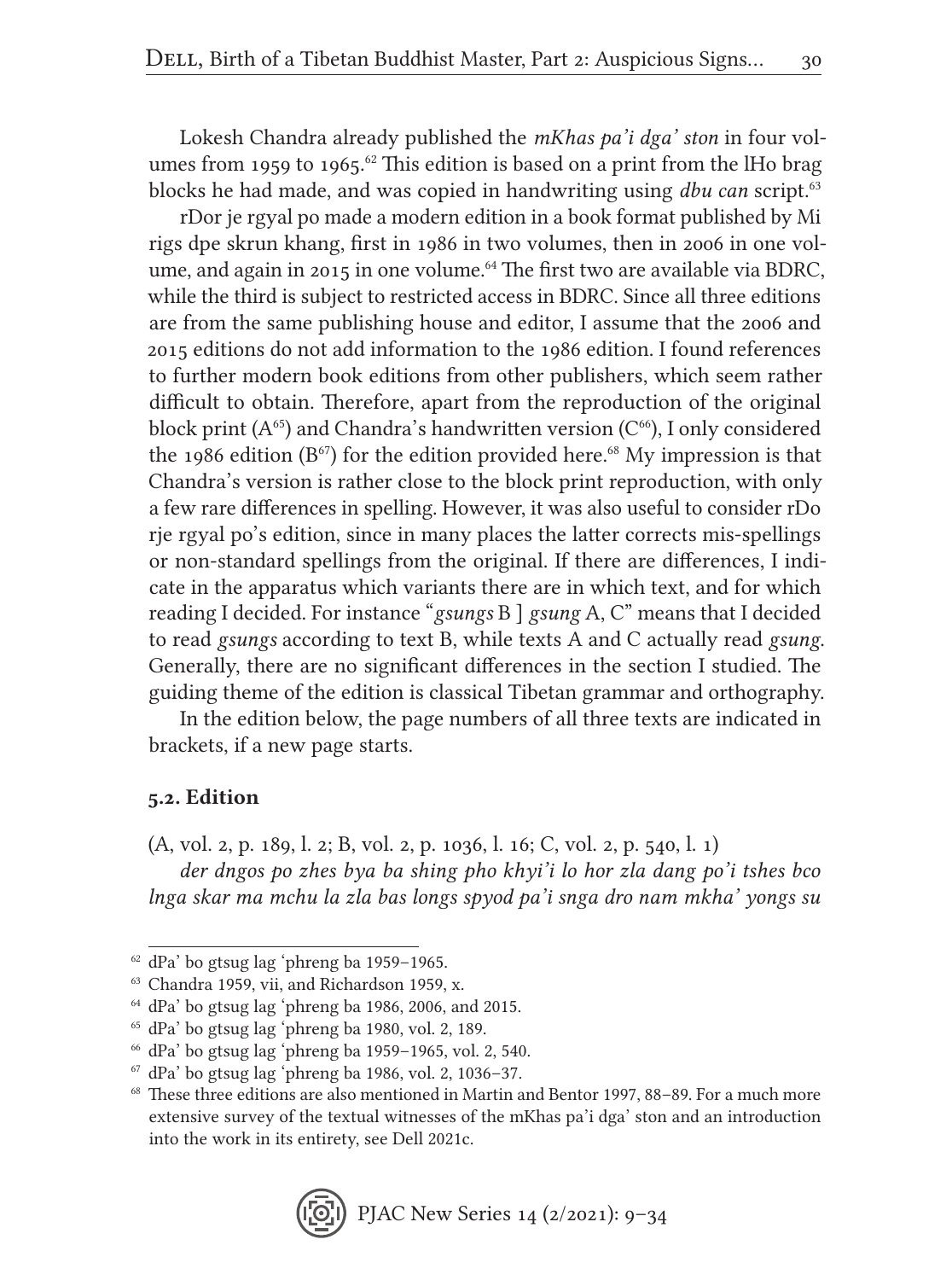Lokesh Chandra already published the *mKhas pa'i dga' ston* in four volumes from 1959 to 1965.<sup>62</sup> This edition is based on a print from the IHo brag blocks he had made, and was copied in handwriting using *dbu can* script.<sup>63</sup>

rDor je rgyal po made a modern edition in a book format published by Mi rigs dpe skrun khang, first in 1986 in two volumes, then in 2006 in one volume, and again in 2015 in one volume.<sup>64</sup> The first two are available via BDRC, while the third is subject to restricted access in BDRC. Since all three editions are from the same publishing house and editor, I assume that the 2006 and 2015 editions do not add information to the 1986 edition. I found references to further modern book editions from other publishers, which seem rather difficult to obtain. Therefore, apart from the reproduction of the original block print  $(A^{65})$  and Chandra's handwritten version  $(C^{66})$ , I only considered the 1986 edition ( $B^{\circ 7}$ ) for the edition provided here.<sup>68</sup> My impression is that Chandra's version is rather close to the block print reproduction, with only a few rare differences in spelling. However, it was also useful to consider rDo rje rgyal po's edition, since in many places the latter corrects mis-spellings or non-standard spellings from the original. If there are differences, I indicate in the apparatus which variants there are in which text, and for which reading I decided. For instance "*gsungs* B ] *gsung* A, C" means that I decided to read *gsungs* according to text B, while texts A and C actually read *gsung*. Generally, there are no significant differences in the section I studied. The guiding theme of the edition is classical Tibetan grammar and orthography.

In the edition below, the page numbers of all three texts are indicated in brackets, if a new page starts.

#### 5.2. Edition

(A, vol. 2, p. 189, l. 2; B, vol. 2, p. 1036, l. 16; C, vol. 2, p. 540, l. 1) *der dngos po zhes bya ba shing pho khyi'i lo hor zla dang po'i tshes bco lnga skar ma mchu la zla bas longs spyod pa'i snga dro nam mkha' yongs su* 

<sup>62</sup> dPa' bo gtsug lag 'phreng ba 1959–1965.

<sup>63</sup> Chandra 1959, vii, and Richardson 1959, x.

<sup>64</sup> dPa' bo gtsug lag 'phreng ba 1986, 2006, and 2015.

<sup>65</sup> dPa' bo gtsug lag 'phreng ba 1980, vol. 2, 189.

<sup>66</sup> dPa' bo gtsug lag 'phreng ba 1959–1965, vol. 2, 540.

<sup>67</sup> dPa' bo gtsug lag 'phreng ba 1986, vol. 2, 1036–37.

<sup>68</sup> These three editions are also mentioned in Martin and Bentor 1997, 88–89. For a much more extensive survey of the textual witnesses of the mKhas pa'i dga' ston and an introduction into the work in its entirety, see Dell 2021c.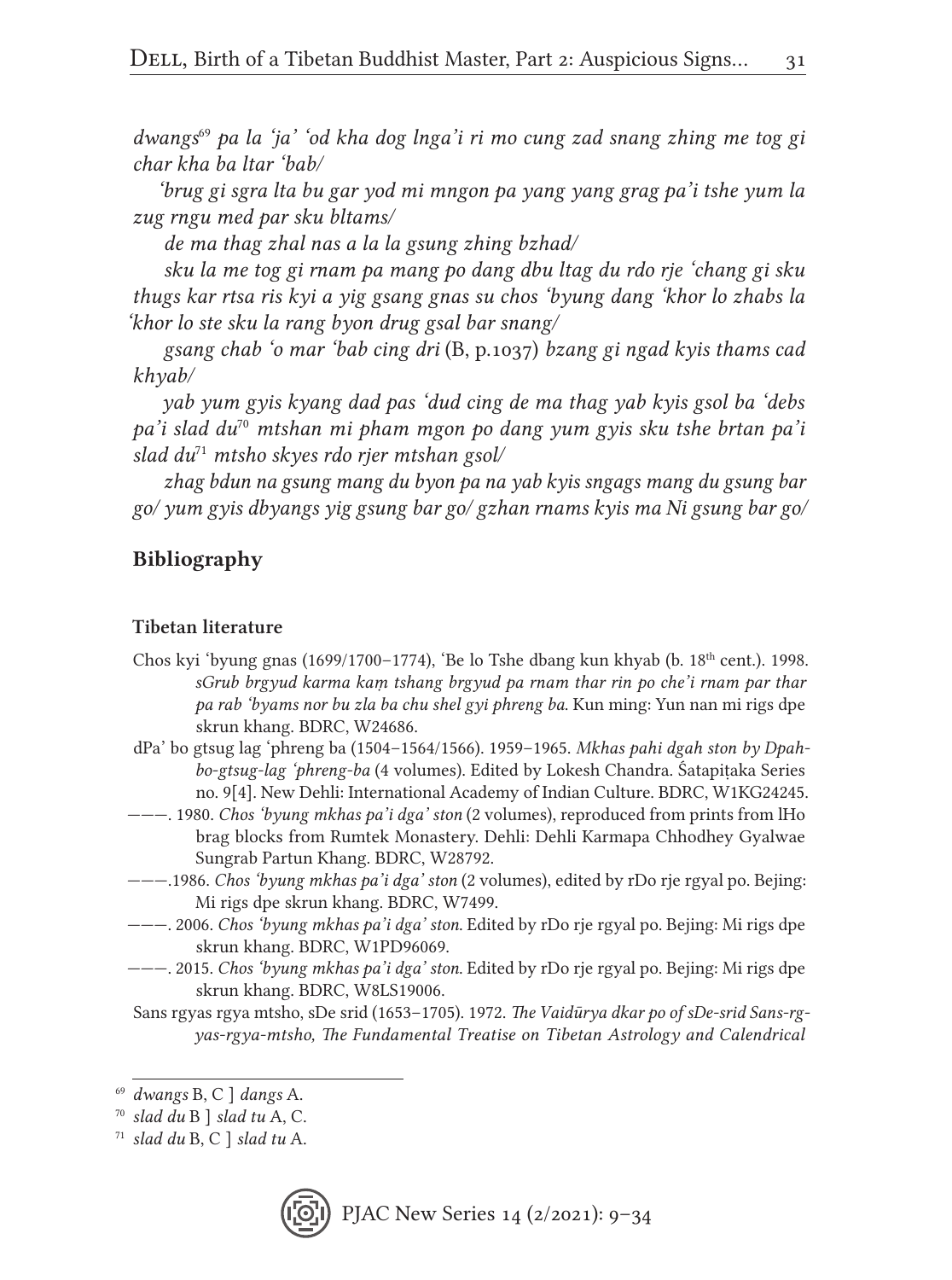*dwangs*<sup>69</sup> *pa la 'ja' 'od kha dog lnga'i ri mo cung zad snang zhing me tog gi char kha ba ltar 'bab/*

*'brug gi sgra lta bu gar yod mi mngon pa yang yang grag pa'i tshe yum la zug rngu med par sku bltams/*

*de ma thag zhal nas a la la gsung zhing bzhad/*

*sku la me tog gi rnam pa mang po dang dbu ltag du rdo rje 'chang gi sku thugs kar rtsa ris kyi a yig gsang gnas su chos 'byung dang 'khor lo zhabs la 'khor lo ste sku la rang byon drug gsal bar snang/*

*gsang chab 'o mar 'bab cing dri* (B, p.1037) *bzang gi ngad kyis thams cad khyab/*

*yab yum gyis kyang dad pas 'dud cing de ma thag yab kyis gsol ba 'debs pa'i slad du*<sup>70</sup> *mtshan mi pham mgon po dang yum gyis sku tshe brtan pa'i slad du*<sup>71</sup> *mtsho skyes rdo rjer mtshan gsol/*

*zhag bdun na gsung mang du byon pa na yab kyis sngags mang du gsung bar go/ yum gyis dbyangs yig gsung bar go/ gzhan rnams kyis ma Ni gsung bar go/*

#### Bibliography

#### Tibetan literature

- Chos kyi 'byung gnas (1699/1700-1774), 'Be lo Tshe dbang kun khyab (b. 18<sup>th</sup> cent.). 1998. *sGrub brgyud karma kaṃ tshang brgyud pa rnam thar rin po che'i rnam par thar pa rab 'byams nor bu zla ba chu shel gyi phreng ba*. Kun ming: Yun nan mi rigs dpe skrun khang. BDRC, W24686.
- dPa' bo gtsug lag 'phreng ba (1504–1564/1566). 1959–1965. *Mkhas pahi dgah ston by Dpahbo-gtsug-lag 'phreng-ba* (4 volumes). Edited by Lokesh Chandra. Śatapiṭaka Series no. 9[4]. New Dehli: International Academy of Indian Culture. BDRC, W1KG24245.
- ———. 1980. *Chos 'byung mkhas pa'i dga' ston* (2 volumes), reproduced from prints from lHo brag blocks from Rumtek Monastery. Dehli: Dehli Karmapa Chhodhey Gyalwae Sungrab Partun Khang. BDRC, W28792.
- ———.1986. *Chos 'byung mkhas pa'i dga' ston* (2 volumes), edited by rDo rje rgyal po. Bejing: Mi rigs dpe skrun khang. BDRC, W7499.
- ———. 2006. *Chos 'byung mkhas pa'i dga' ston*. Edited by rDo rje rgyal po. Bejing: Mi rigs dpe skrun khang. BDRC, W1PD96069.
- ———. 2015. *Chos 'byung mkhas pa'i dga' ston*. Edited by rDo rje rgyal po. Bejing: Mi rigs dpe skrun khang. BDRC, W8LS19006.
- Sans rgyas rgya mtsho, sDe srid (1653–1705). 1972. *The Vaidūrya dkar po of sDe-srid Sans-rgyas-rgya-mtsho, The Fundamental Treatise on Tibetan Astrology and Calendrical*

<sup>71</sup> *slad du* B, C ] *slad tu* A.



<sup>69</sup> *dwangs* B, C ] *dangs* A.

<sup>70</sup> *slad du* B ] *slad tu* A, C.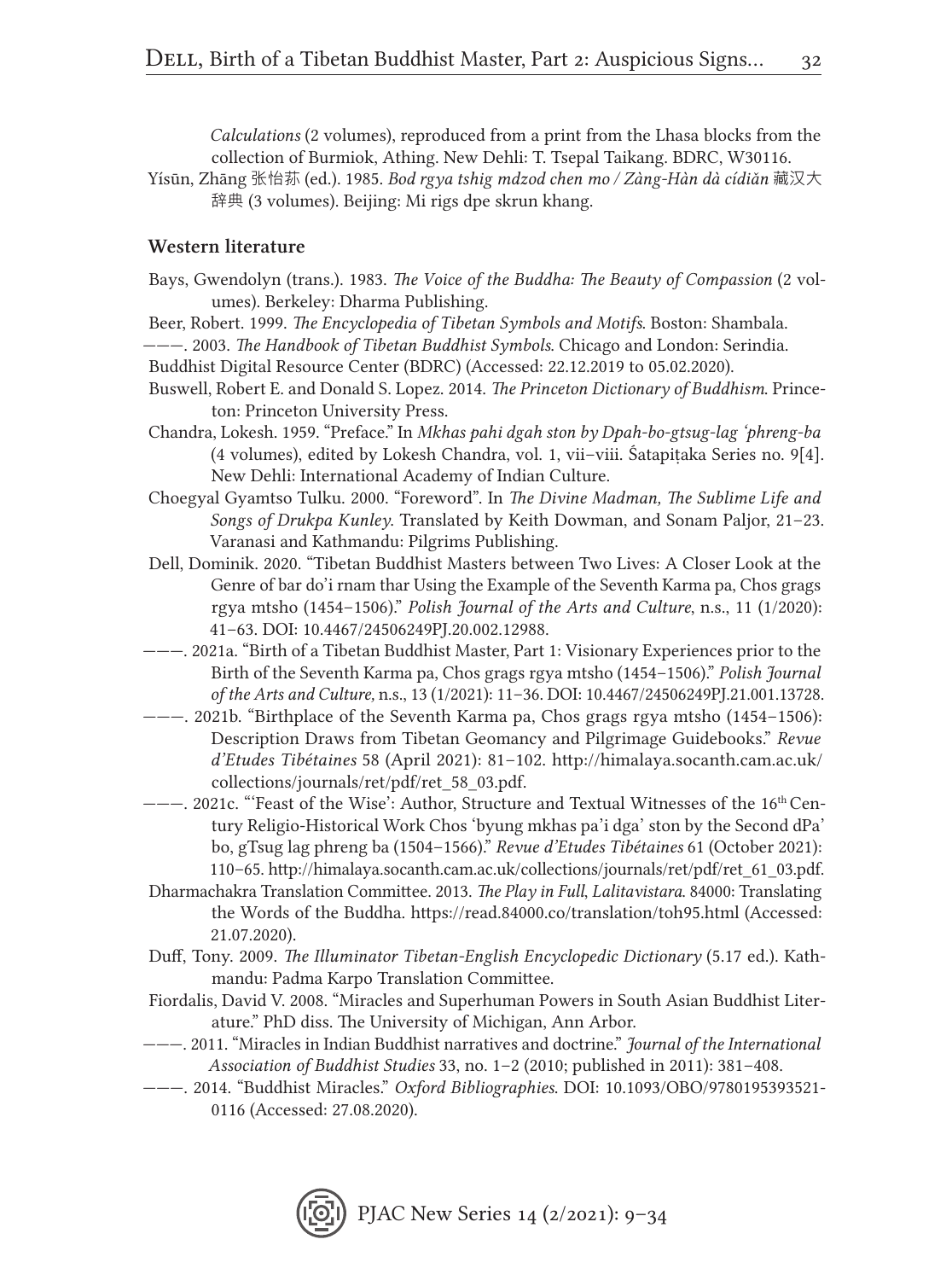*Calculations* (2 volumes), reproduced from a print from the Lhasa blocks from the collection of Burmiok, Athing. New Dehli: T. Tsepal Taikang. BDRC, W30116.

Yísūn, Zhāng 张怡荪 (ed.). 1985. *Bod rgya tshig mdzod chen mo / Zàng-Hàn dà cídiǎn* 藏汉大 辞典 (3 volumes). Beijing: Mi rigs dpe skrun khang.

#### Western literature

- Bays, Gwendolyn (trans.). 1983. *The Voice of the Buddha: The Beauty of Compassion* (2 volumes). Berkeley: Dharma Publishing.
- Beer, Robert. 1999. *The Encyclopedia of Tibetan Symbols and Motifs*. Boston: Shambala.
- ———. 2003. *The Handbook of Tibetan Buddhist Symbols*. Chicago and London: Serindia.
- Buddhist Digital Resource Center (BDRC) (Accessed: 22.12.2019 to 05.02.2020).
- Buswell, Robert E. and Donald S. Lopez. 2014. *The Princeton Dictionary of Buddhism*. Princeton: Princeton University Press.
- Chandra, Lokesh. 1959. "Preface." In *Mkhas pahi dgah ston by Dpah-bo-gtsug-lag 'phreng-ba*  (4 volumes), edited by Lokesh Chandra, vol. 1, vii–viii. Śatapiṭaka Series no. 9[4]. New Dehli: International Academy of Indian Culture.
- Choegyal Gyamtso Tulku. 2000. "Foreword". In *The Divine Madman, The Sublime Life and Songs of Drukpa Kunley*. Translated by Keith Dowman, and Sonam Paljor, 21–23. Varanasi and Kathmandu: Pilgrims Publishing.
- Dell, Dominik. 2020. "Tibetan Buddhist Masters between Two Lives: A Closer Look at the Genre of bar do'i rnam thar Using the Example of the Seventh Karma pa, Chos grags rgya mtsho (1454–1506)." *Polish Journal of the Arts and Culture*, n.s., 11 (1/2020): 41–63. DOI: 10.4467/24506249PJ.20.002.12988.
- ———. 2021a. "Birth of a Tibetan Buddhist Master, Part 1: Visionary Experiences prior to the Birth of the Seventh Karma pa, Chos grags rgya mtsho (1454–1506)." *Polish Journal of the Arts and Culture,* n.s., 13 (1/2021): 11–36. DOI: 10.4467/24506249PJ.21.001.13728.
- ———. 2021b. "Birthplace of the Seventh Karma pa, Chos grags rgya mtsho (1454–1506): Description Draws from Tibetan Geomancy and Pilgrimage Guidebooks." *Revue d'Etudes Tibétaines* 58 (April 2021): 81–102. http://himalaya.socanth.cam.ac.uk/ collections/journals/ret/pdf/ret\_58\_03.pdf.
- ———. 2021c. "'Feast of the Wise': Author, Structure and Textual Witnesses of the 16th Century Religio-Historical Work Chos 'byung mkhas pa'i dga' ston by the Second dPa' bo, gTsug lag phreng ba (1504–1566)." *Revue d'Etudes Tibétaines* 61 (October 2021): 110–65. http://himalaya.socanth.cam.ac.uk/collections/journals/ret/pdf/ret\_61\_03.pdf.
- Dharmachakra Translation Committee. 2013. *The Play in Full*, *Lalitavistara*. 84000: Translating the Words of the Buddha. https://read.84000.co/translation/toh95.html (Accessed: 21.07.2020).
- Duff, Tony. 2009. *The Illuminator Tibetan-English Encyclopedic Dictionary* (5.17 ed.). Kathmandu: Padma Karpo Translation Committee.
- Fiordalis, David V. 2008. "Miracles and Superhuman Powers in South Asian Buddhist Literature." PhD diss. The University of Michigan, Ann Arbor.
- ———. 2011. "Miracles in Indian Buddhist narratives and doctrine." *Journal of the International Association of Buddhist Studies* 33, no. 1–2 (2010; published in 2011): 381–408.
- ———. 2014. "Buddhist Miracles." *Oxford Bibliographies*. DOI: 10.1093/OBO/9780195393521- 0116 (Accessed: 27.08.2020).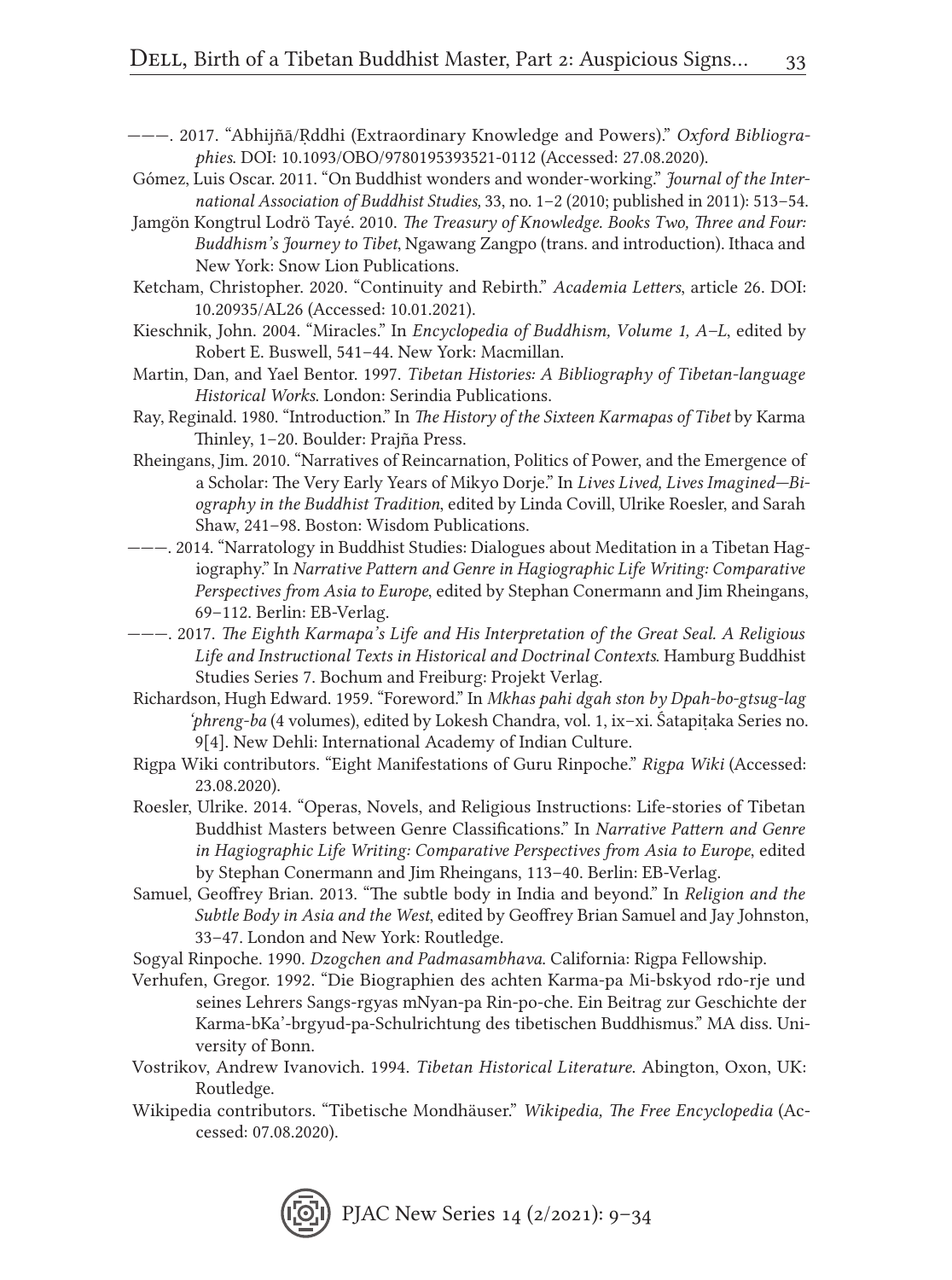- ———. 2017. "Abhijñā/Ṛddhi (Extraordinary Knowledge and Powers)." *Oxford Bibliographies*. DOI: 10.1093/OBO/9780195393521-0112 (Accessed: 27.08.2020).
- Gómez, Luis Oscar. 2011. "On Buddhist wonders and wonder-working." *Journal of the International Association of Buddhist Studies,* 33, no. 1–2 (2010; published in 2011): 513–54.
- Jamgön Kongtrul Lodrö Tayé. 2010. *The Treasury of Knowledge. Books Two, Three and Four: Buddhism's Journey to Tibet*, Ngawang Zangpo (trans. and introduction). Ithaca and New York: Snow Lion Publications.
- Ketcham, Christopher. 2020. "Continuity and Rebirth." *Academia Letters*, article 26. DOI: 10.20935/AL26 (Accessed: 10.01.2021).
- Kieschnik, John. 2004. "Miracles." In *Encyclopedia of Buddhism, Volume 1, A–L*, edited by Robert E. Buswell, 541–44. New York: Macmillan.
- Martin, Dan, and Yael Bentor. 1997. *Tibetan Histories: A Bibliography of Tibetan-language Historical Works*. London: Serindia Publications.
- Ray, Reginald. 1980. "Introduction." In *The History of the Sixteen Karmapas of Tibet* by Karma Thinley, 1–20. Boulder: Prajña Press.
- Rheingans, Jim. 2010. "Narratives of Reincarnation, Politics of Power, and the Emergence of a Scholar: The Very Early Years of Mikyo Dorje." In *Lives Lived, Lives Imagined—Biography in the Buddhist Tradition*, edited by Linda Covill, Ulrike Roesler, and Sarah Shaw, 241–98. Boston: Wisdom Publications.
- ———. 2014. "Narratology in Buddhist Studies: Dialogues about Meditation in a Tibetan Hagiography." In *Narrative Pattern and Genre in Hagiographic Life Writing: Comparative Perspectives from Asia to Europe*, edited by Stephan Conermann and Jim Rheingans, 69–112. Berlin: EB-Verlag.
- ———. 2017. *The Eighth Karmapa's Life and His Interpretation of the Great Seal. A Religious Life and Instructional Texts in Historical and Doctrinal Contexts*. Hamburg Buddhist Studies Series 7. Bochum and Freiburg: Projekt Verlag.
- Richardson, Hugh Edward. 1959. "Foreword." In *Mkhas pahi dgah ston by Dpah-bo-gtsug-lag 'phreng-ba* (4 volumes), edited by Lokesh Chandra, vol. 1, ix–xi. Śatapiṭaka Series no. 9[4]. New Dehli: International Academy of Indian Culture.
- Rigpa Wiki contributors. "Eight Manifestations of Guru Rinpoche." *Rigpa Wiki* (Accessed: 23.08.2020).
- Roesler, Ulrike. 2014. "Operas, Novels, and Religious Instructions: Life-stories of Tibetan Buddhist Masters between Genre Classifications." In *Narrative Pattern and Genre in Hagiographic Life Writing: Comparative Perspectives from Asia to Europe*, edited by Stephan Conermann and Jim Rheingans, 113–40. Berlin: EB-Verlag.
- Samuel, Geoffrey Brian. 2013. "The subtle body in India and beyond." In *Religion and the Subtle Body in Asia and the West*, edited by Geoffrey Brian Samuel and Jay Johnston, 33–47. London and New York: Routledge.
- Sogyal Rinpoche. 1990. *Dzogchen and Padmasambhava*. California: Rigpa Fellowship.
- Verhufen, Gregor. 1992. "Die Biographien des achten Karma-pa Mi-bskyod rdo-rje und seines Lehrers Sangs-rgyas mNyan-pa Rin-po-che. Ein Beitrag zur Geschichte der Karma-bKa'-brgyud-pa-Schulrichtung des tibetischen Buddhismus." MA diss. University of Bonn.
- Vostrikov, Andrew Ivanovich. 1994. *Tibetan Historical Literature*. Abington, Oxon, UK: Routledge.
- Wikipedia contributors. "Tibetische Mondhäuser." *Wikipedia, The Free Encyclopedia* (Accessed: 07.08.2020).